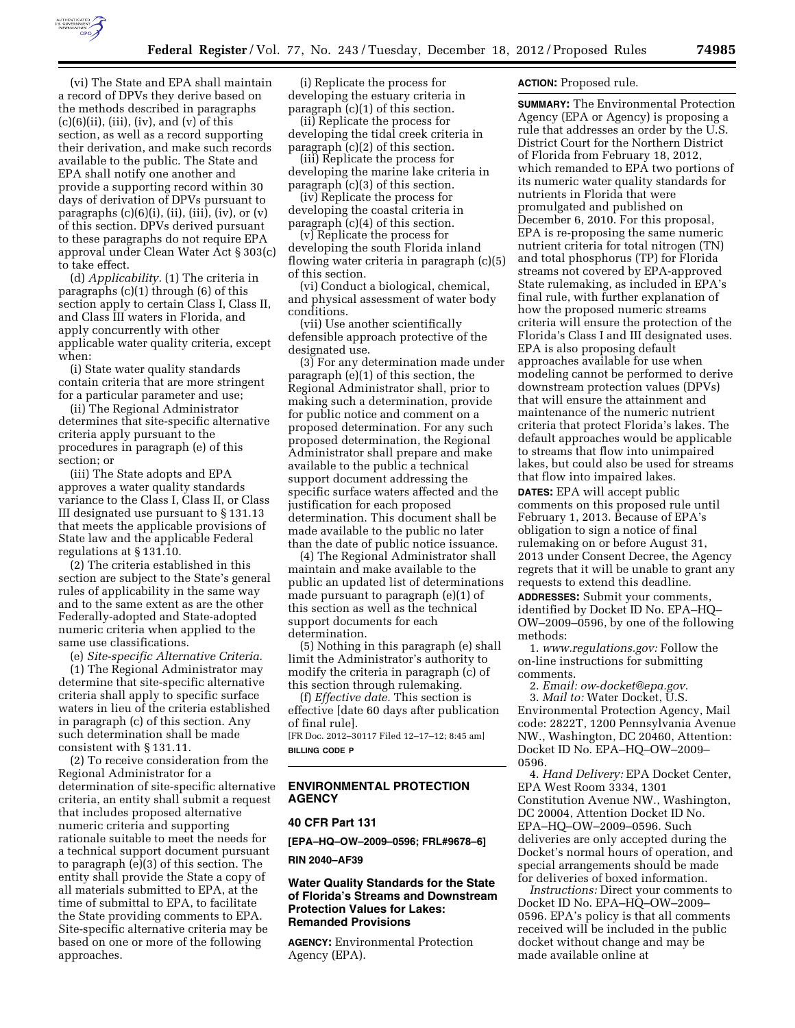

(vi) The State and EPA shall maintain a record of DPVs they derive based on the methods described in paragraphs  $(c)(6)(ii)$ , (iii), (iv), and (v) of this section, as well as a record supporting their derivation, and make such records available to the public. The State and EPA shall notify one another and provide a supporting record within 30 days of derivation of DPVs pursuant to paragraphs  $(c)(6)(i)$ ,  $(ii)$ ,  $(iii)$ ,  $(iv)$ , or  $(v)$ of this section. DPVs derived pursuant to these paragraphs do not require EPA approval under Clean Water Act § 303(c) to take effect.

(d) *Applicability.* (1) The criteria in paragraphs (c)(1) through (6) of this section apply to certain Class I, Class II, and Class III waters in Florida, and apply concurrently with other applicable water quality criteria, except when:

(i) State water quality standards contain criteria that are more stringent for a particular parameter and use;

(ii) The Regional Administrator determines that site-specific alternative criteria apply pursuant to the procedures in paragraph (e) of this section; or

(iii) The State adopts and EPA approves a water quality standards variance to the Class I, Class II, or Class III designated use pursuant to § 131.13 that meets the applicable provisions of State law and the applicable Federal regulations at § 131.10.

(2) The criteria established in this section are subject to the State's general rules of applicability in the same way and to the same extent as are the other Federally-adopted and State-adopted numeric criteria when applied to the same use classifications.

(e) *Site-specific Alternative Criteria.*  (1) The Regional Administrator may determine that site-specific alternative criteria shall apply to specific surface waters in lieu of the criteria established in paragraph (c) of this section. Any such determination shall be made

consistent with § 131.11. (2) To receive consideration from the Regional Administrator for a determination of site-specific alternative criteria, an entity shall submit a request that includes proposed alternative numeric criteria and supporting rationale suitable to meet the needs for a technical support document pursuant to paragraph (e)(3) of this section. The entity shall provide the State a copy of all materials submitted to EPA, at the time of submittal to EPA, to facilitate the State providing comments to EPA. Site-specific alternative criteria may be based on one or more of the following approaches.

(i) Replicate the process for developing the estuary criteria in paragraph (c)(1) of this section.

(ii) Replicate the process for developing the tidal creek criteria in paragraph (c)(2) of this section.

(iii) Replicate the process for developing the marine lake criteria in paragraph (c)(3) of this section.

(iv) Replicate the process for developing the coastal criteria in paragraph (c)(4) of this section.

(v) Replicate the process for developing the south Florida inland flowing water criteria in paragraph (c)(5) of this section.

(vi) Conduct a biological, chemical, and physical assessment of water body conditions.

(vii) Use another scientifically defensible approach protective of the designated use.

(3) For any determination made under paragraph (e)(1) of this section, the Regional Administrator shall, prior to making such a determination, provide for public notice and comment on a proposed determination. For any such proposed determination, the Regional Administrator shall prepare and make available to the public a technical support document addressing the specific surface waters affected and the justification for each proposed determination. This document shall be made available to the public no later than the date of public notice issuance.

(4) The Regional Administrator shall maintain and make available to the public an updated list of determinations made pursuant to paragraph (e)(1) of this section as well as the technical support documents for each determination.

(5) Nothing in this paragraph (e) shall limit the Administrator's authority to modify the criteria in paragraph (c) of this section through rulemaking.

(f) *Effective date.* This section is effective [date 60 days after publication of final rule].

[FR Doc. 2012–30117 Filed 12–17–12; 8:45 am] **BILLING CODE P** 

### **ENVIRONMENTAL PROTECTION AGENCY**

#### **40 CFR Part 131**

**[EPA–HQ–OW–2009–0596; FRL#9678–6]** 

#### **RIN 2040–AF39**

### **Water Quality Standards for the State of Florida's Streams and Downstream Protection Values for Lakes: Remanded Provisions**

**AGENCY:** Environmental Protection Agency (EPA).

### **ACTION:** Proposed rule.

**SUMMARY:** The Environmental Protection Agency (EPA or Agency) is proposing a rule that addresses an order by the U.S. District Court for the Northern District of Florida from February 18, 2012, which remanded to EPA two portions of its numeric water quality standards for nutrients in Florida that were promulgated and published on December 6, 2010. For this proposal, EPA is re-proposing the same numeric nutrient criteria for total nitrogen (TN) and total phosphorus (TP) for Florida streams not covered by EPA-approved State rulemaking, as included in EPA's final rule, with further explanation of how the proposed numeric streams criteria will ensure the protection of the Florida's Class I and III designated uses. EPA is also proposing default approaches available for use when modeling cannot be performed to derive downstream protection values (DPVs) that will ensure the attainment and maintenance of the numeric nutrient criteria that protect Florida's lakes. The default approaches would be applicable to streams that flow into unimpaired lakes, but could also be used for streams that flow into impaired lakes.

**DATES:** EPA will accept public comments on this proposed rule until February 1, 2013. Because of EPA's obligation to sign a notice of final rulemaking on or before August 31, 2013 under Consent Decree, the Agency regrets that it will be unable to grant any requests to extend this deadline.

**ADDRESSES:** Submit your comments, identified by Docket ID No. EPA–HQ– OW–2009–0596, by one of the following methods:

1. *[www.regulations.gov:](http://www.regulations.gov)* Follow the on-line instructions for submitting comments.

2. *Email: [ow-docket@epa.gov.](mailto:ow-docket@epa.gov)* 

3. *Mail to:* Water Docket, U.S. Environmental Protection Agency, Mail code: 2822T, 1200 Pennsylvania Avenue NW., Washington, DC 20460, Attention: Docket ID No. EPA–HQ–OW–2009– 0596.

4. *Hand Delivery:* EPA Docket Center, EPA West Room 3334, 1301 Constitution Avenue NW., Washington, DC 20004, Attention Docket ID No. EPA–HQ–OW–2009–0596. Such deliveries are only accepted during the Docket's normal hours of operation, and special arrangements should be made for deliveries of boxed information.

*Instructions:* Direct your comments to Docket ID No. EPA–HQ–OW–2009– 0596. EPA's policy is that all comments received will be included in the public docket without change and may be made available online at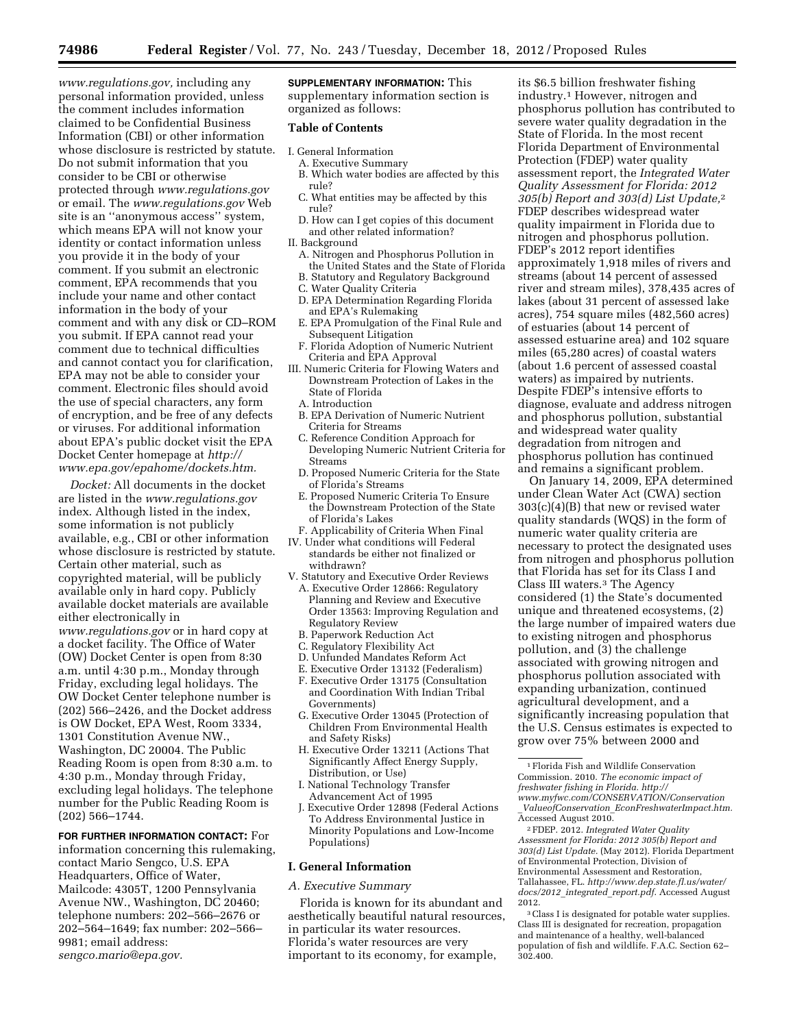*[www.regulations.gov,](http://www.regulations.gov)* including any personal information provided, unless the comment includes information claimed to be Confidential Business Information (CBI) or other information whose disclosure is restricted by statute. Do not submit information that you consider to be CBI or otherwise protected through *[www.regulations.gov](http://www.regulations.gov)*  or email. The *[www.regulations.gov](http://www.regulations.gov)* Web site is an ''anonymous access'' system, which means EPA will not know your identity or contact information unless you provide it in the body of your comment. If you submit an electronic comment, EPA recommends that you include your name and other contact information in the body of your comment and with any disk or CD–ROM you submit. If EPA cannot read your comment due to technical difficulties and cannot contact you for clarification, EPA may not be able to consider your comment. Electronic files should avoid the use of special characters, any form of encryption, and be free of any defects or viruses. For additional information about EPA's public docket visit the EPA Docket Center homepage at *[http://](http://www.epa.gov/epahome/dockets.htm) [www.epa.gov/epahome/dockets.htm.](http://www.epa.gov/epahome/dockets.htm)* 

*Docket:* All documents in the docket are listed in the *[www.regulations.gov](http://www.regulations.gov)*  index. Although listed in the index, some information is not publicly available, e.g., CBI or other information whose disclosure is restricted by statute. Certain other material, such as copyrighted material, will be publicly available only in hard copy. Publicly available docket materials are available either electronically in *[www.regulations.gov](http://www.regulations.gov)* or in hard copy at a docket facility. The Office of Water (OW) Docket Center is open from 8:30 a.m. until 4:30 p.m., Monday through Friday, excluding legal holidays. The OW Docket Center telephone number is (202) 566–2426, and the Docket address is OW Docket, EPA West, Room 3334, 1301 Constitution Avenue NW., Washington, DC 20004. The Public Reading Room is open from 8:30 a.m. to 4:30 p.m., Monday through Friday, excluding legal holidays. The telephone number for the Public Reading Room is (202) 566–1744.

**FOR FURTHER INFORMATION CONTACT:** For information concerning this rulemaking, contact Mario Sengco, U.S. EPA Headquarters, Office of Water, Mailcode: 4305T, 1200 Pennsylvania Avenue NW., Washington, DC 20460; telephone numbers: 202–566–2676 or 202–564–1649; fax number: 202–566– 9981; email address: *[sengco.mario@epa.gov.](mailto:sengco.mario@epa.gov)* 

**SUPPLEMENTARY INFORMATION:** This supplementary information section is organized as follows:

#### **Table of Contents**

- I. General Information
	- A. Executive Summary B. Which water bodies are affected by this rule?
	- C. What entities may be affected by this rule?
	- D. How can I get copies of this document and other related information?
- II. Background
	- A. Nitrogen and Phosphorus Pollution in the United States and the State of Florida
	- B. Statutory and Regulatory Background
	- C. Water Quality Criteria
	- D. EPA Determination Regarding Florida and EPA's Rulemaking
	- E. EPA Promulgation of the Final Rule and Subsequent Litigation
	- F. Florida Adoption of Numeric Nutrient Criteria and EPA Approval
- III. Numeric Criteria for Flowing Waters and Downstream Protection of Lakes in the State of Florida
	- A. Introduction
	- B. EPA Derivation of Numeric Nutrient Criteria for Streams
	- C. Reference Condition Approach for Developing Numeric Nutrient Criteria for Streams
	- D. Proposed Numeric Criteria for the State of Florida's Streams
	- E. Proposed Numeric Criteria To Ensure the Downstream Protection of the State of Florida's Lakes
- F. Applicability of Criteria When Final
- IV. Under what conditions will Federal standards be either not finalized or withdrawn?
- V. Statutory and Executive Order Reviews
	- A. Executive Order 12866: Regulatory Planning and Review and Executive Order 13563: Improving Regulation and Regulatory Review
	- B. Paperwork Reduction Act
	- C. Regulatory Flexibility Act
	- D. Unfunded Mandates Reform Act
	- E. Executive Order 13132 (Federalism)
	- F. Executive Order 13175 (Consultation and Coordination With Indian Tribal
	- Governments) G. Executive Order 13045 (Protection of Children From Environmental Health
	- and Safety Risks) H. Executive Order 13211 (Actions That
	- Significantly Affect Energy Supply, Distribution, or Use)
	- I. National Technology Transfer Advancement Act of 1995
	- J. Executive Order 12898 (Federal Actions To Address Environmental Justice in Minority Populations and Low-Income Populations)

# **I. General Information**

### *A. Executive Summary*

Florida is known for its abundant and aesthetically beautiful natural resources, in particular its water resources. Florida's water resources are very important to its economy, for example,

its \$6.5 billion freshwater fishing industry.1 However, nitrogen and phosphorus pollution has contributed to severe water quality degradation in the State of Florida. In the most recent Florida Department of Environmental Protection (FDEP) water quality assessment report, the *Integrated Water Quality Assessment for Florida: 2012 305(b) Report and 303(d) List Update,*2 FDEP describes widespread water quality impairment in Florida due to nitrogen and phosphorus pollution. FDEP's 2012 report identifies approximately 1,918 miles of rivers and streams (about 14 percent of assessed river and stream miles), 378,435 acres of lakes (about 31 percent of assessed lake acres), 754 square miles (482,560 acres) of estuaries (about 14 percent of assessed estuarine area) and 102 square miles (65,280 acres) of coastal waters (about 1.6 percent of assessed coastal waters) as impaired by nutrients. Despite FDEP's intensive efforts to diagnose, evaluate and address nitrogen and phosphorus pollution, substantial and widespread water quality degradation from nitrogen and phosphorus pollution has continued and remains a significant problem.

On January 14, 2009, EPA determined under Clean Water Act (CWA) section 303(c)(4)(B) that new or revised water quality standards (WQS) in the form of numeric water quality criteria are necessary to protect the designated uses from nitrogen and phosphorus pollution that Florida has set for its Class I and Class III waters.3 The Agency considered (1) the State's documented unique and threatened ecosystems, (2) the large number of impaired waters due to existing nitrogen and phosphorus pollution, and (3) the challenge associated with growing nitrogen and phosphorus pollution associated with expanding urbanization, continued agricultural development, and a significantly increasing population that the U.S. Census estimates is expected to grow over 75% between 2000 and

<sup>1</sup>Florida Fish and Wildlife Conservation Commission. 2010. *The economic impact of freshwater fishing in Florida. [http://](http://www.myfwc.com/CONSERVATION/Conservation_ValueofConservation_EconFreshwaterImpact.htm)  [www.myfwc.com/CONSERVATION/Conservation](http://www.myfwc.com/CONSERVATION/Conservation_ValueofConservation_EconFreshwaterImpact.htm)* \_*ValueofConservation*\_*[EconFreshwaterImpact.htm.](http://www.myfwc.com/CONSERVATION/Conservation_ValueofConservation_EconFreshwaterImpact.htm)*  Accessed August 2010.

<sup>2</sup>FDEP. 2012. *Integrated Water Quality Assessment for Florida: 2012 305(b) Report and 303(d) List Update.* (May 2012). Florida Department of Environmental Protection, Division of Environmental Assessment and Restoration, Tallahassee, FL. *[http://www.dep.state.fl.us/water/](http://www.dep.state.fl.us/water/docs/2012_integrated_report.pdf) [docs/2012](http://www.dep.state.fl.us/water/docs/2012_integrated_report.pdf)*\_*integrated*\_*report.pdf*. Accessed August 2012.

<sup>3</sup>Class I is designated for potable water supplies. Class III is designated for recreation, propagation and maintenance of a healthy, well-balanced population of fish and wildlife. F.A.C. Section 62–  $302.400.$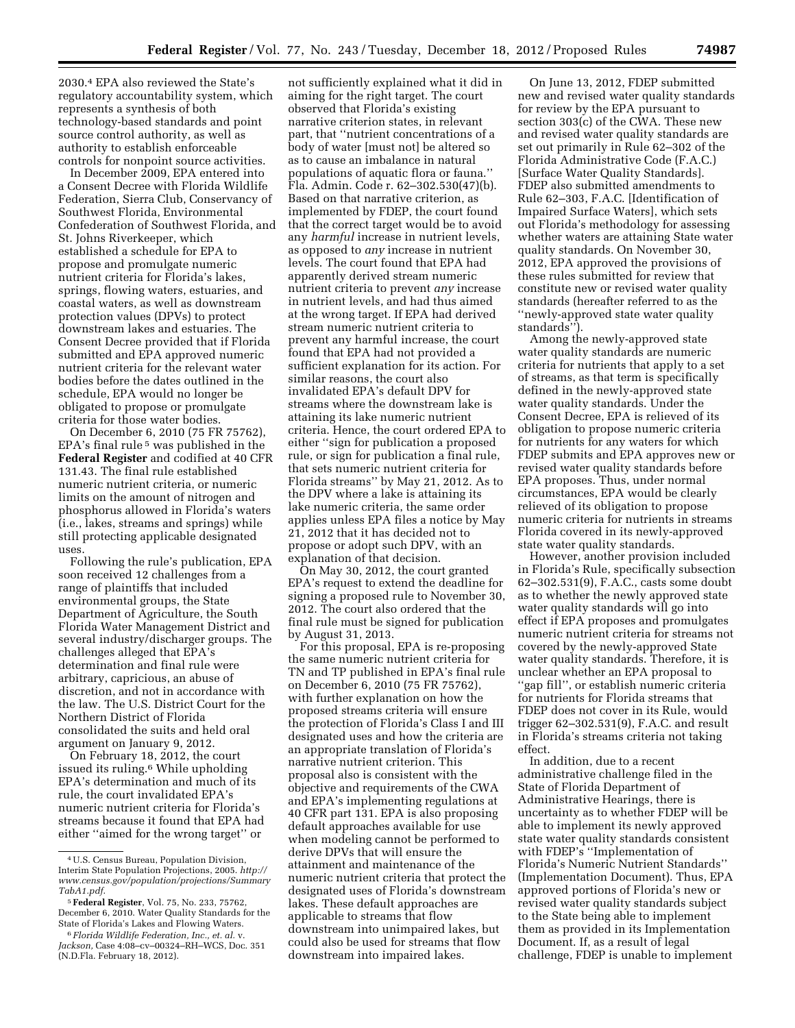2030.4 EPA also reviewed the State's regulatory accountability system, which represents a synthesis of both technology-based standards and point source control authority, as well as authority to establish enforceable controls for nonpoint source activities.

In December 2009, EPA entered into a Consent Decree with Florida Wildlife Federation, Sierra Club, Conservancy of Southwest Florida, Environmental Confederation of Southwest Florida, and St. Johns Riverkeeper, which established a schedule for EPA to propose and promulgate numeric nutrient criteria for Florida's lakes, springs, flowing waters, estuaries, and coastal waters, as well as downstream protection values (DPVs) to protect downstream lakes and estuaries. The Consent Decree provided that if Florida submitted and EPA approved numeric nutrient criteria for the relevant water bodies before the dates outlined in the schedule, EPA would no longer be obligated to propose or promulgate criteria for those water bodies.

On December 6, 2010 (75 FR 75762), EPA's final rule 5 was published in the **Federal Register** and codified at 40 CFR 131.43. The final rule established numeric nutrient criteria, or numeric limits on the amount of nitrogen and phosphorus allowed in Florida's waters (i.e., lakes, streams and springs) while still protecting applicable designated uses.

Following the rule's publication, EPA soon received 12 challenges from a range of plaintiffs that included environmental groups, the State Department of Agriculture, the South Florida Water Management District and several industry/discharger groups. The challenges alleged that EPA's determination and final rule were arbitrary, capricious, an abuse of discretion, and not in accordance with the law. The U.S. District Court for the Northern District of Florida consolidated the suits and held oral argument on January 9, 2012.

On February 18, 2012, the court issued its ruling.6 While upholding EPA's determination and much of its rule, the court invalidated EPA's numeric nutrient criteria for Florida's streams because it found that EPA had either ''aimed for the wrong target'' or

not sufficiently explained what it did in aiming for the right target. The court observed that Florida's existing narrative criterion states, in relevant part, that ''nutrient concentrations of a body of water [must not] be altered so as to cause an imbalance in natural populations of aquatic flora or fauna.'' Fla. Admin. Code r. 62–302.530(47)(b). Based on that narrative criterion, as implemented by FDEP, the court found that the correct target would be to avoid any *harmful* increase in nutrient levels, as opposed to *any* increase in nutrient levels. The court found that EPA had apparently derived stream numeric nutrient criteria to prevent *any* increase in nutrient levels, and had thus aimed at the wrong target. If EPA had derived stream numeric nutrient criteria to prevent any harmful increase, the court found that EPA had not provided a sufficient explanation for its action. For similar reasons, the court also invalidated EPA's default DPV for streams where the downstream lake is attaining its lake numeric nutrient criteria. Hence, the court ordered EPA to either ''sign for publication a proposed rule, or sign for publication a final rule, that sets numeric nutrient criteria for Florida streams'' by May 21, 2012. As to the DPV where a lake is attaining its lake numeric criteria, the same order applies unless EPA files a notice by May 21, 2012 that it has decided not to propose or adopt such DPV, with an explanation of that decision.

On May 30, 2012, the court granted EPA's request to extend the deadline for signing a proposed rule to November 30, 2012. The court also ordered that the final rule must be signed for publication by August 31, 2013.

For this proposal, EPA is re-proposing the same numeric nutrient criteria for TN and TP published in EPA's final rule on December 6, 2010 (75 FR 75762), with further explanation on how the proposed streams criteria will ensure the protection of Florida's Class I and III designated uses and how the criteria are an appropriate translation of Florida's narrative nutrient criterion. This proposal also is consistent with the objective and requirements of the CWA and EPA's implementing regulations at 40 CFR part 131. EPA is also proposing default approaches available for use when modeling cannot be performed to derive DPVs that will ensure the attainment and maintenance of the numeric nutrient criteria that protect the designated uses of Florida's downstream lakes. These default approaches are applicable to streams that flow downstream into unimpaired lakes, but could also be used for streams that flow downstream into impaired lakes.

On June 13, 2012, FDEP submitted new and revised water quality standards for review by the EPA pursuant to section 303(c) of the CWA. These new and revised water quality standards are set out primarily in Rule 62–302 of the Florida Administrative Code (F.A.C.) [Surface Water Quality Standards]. FDEP also submitted amendments to Rule 62–303, F.A.C. [Identification of Impaired Surface Waters], which sets out Florida's methodology for assessing whether waters are attaining State water quality standards. On November 30, 2012, EPA approved the provisions of these rules submitted for review that constitute new or revised water quality standards (hereafter referred to as the ''newly-approved state water quality standards'').

Among the newly-approved state water quality standards are numeric criteria for nutrients that apply to a set of streams, as that term is specifically defined in the newly-approved state water quality standards. Under the Consent Decree, EPA is relieved of its obligation to propose numeric criteria for nutrients for any waters for which FDEP submits and EPA approves new or revised water quality standards before EPA proposes. Thus, under normal circumstances, EPA would be clearly relieved of its obligation to propose numeric criteria for nutrients in streams Florida covered in its newly-approved state water quality standards.

However, another provision included in Florida's Rule, specifically subsection 62–302.531(9), F.A.C., casts some doubt as to whether the newly approved state water quality standards will go into effect if EPA proposes and promulgates numeric nutrient criteria for streams not covered by the newly-approved State water quality standards. Therefore, it is unclear whether an EPA proposal to ''gap fill'', or establish numeric criteria for nutrients for Florida streams that FDEP does not cover in its Rule, would trigger 62–302.531(9), F.A.C. and result in Florida's streams criteria not taking effect.

In addition, due to a recent administrative challenge filed in the State of Florida Department of Administrative Hearings, there is uncertainty as to whether FDEP will be able to implement its newly approved state water quality standards consistent with FDEP's ''Implementation of Florida's Numeric Nutrient Standards'' (Implementation Document). Thus, EPA approved portions of Florida's new or revised water quality standards subject to the State being able to implement them as provided in its Implementation Document. If, as a result of legal challenge, FDEP is unable to implement

<sup>4</sup>U.S. Census Bureau, Population Division, Interim State Population Projections, 2005. *[http://](http://www.census.gov/population/projections/SummaryTabA1.pdf)  [www.census.gov/population/projections/Summary](http://www.census.gov/population/projections/SummaryTabA1.pdf) [TabA1.pdf](http://www.census.gov/population/projections/SummaryTabA1.pdf)*.

<sup>5</sup>**Federal Register**, Vol. 75, No. 233, 75762, December 6, 2010. Water Quality Standards for the State of Florida's Lakes and Flowing Waters.

<sup>6</sup> *Florida Wildlife Federation, Inc., et. al.* v. *Jackson,* Case 4:08–cv–00324–RH–WCS, Doc. 351 (N.D.Fla. February 18, 2012).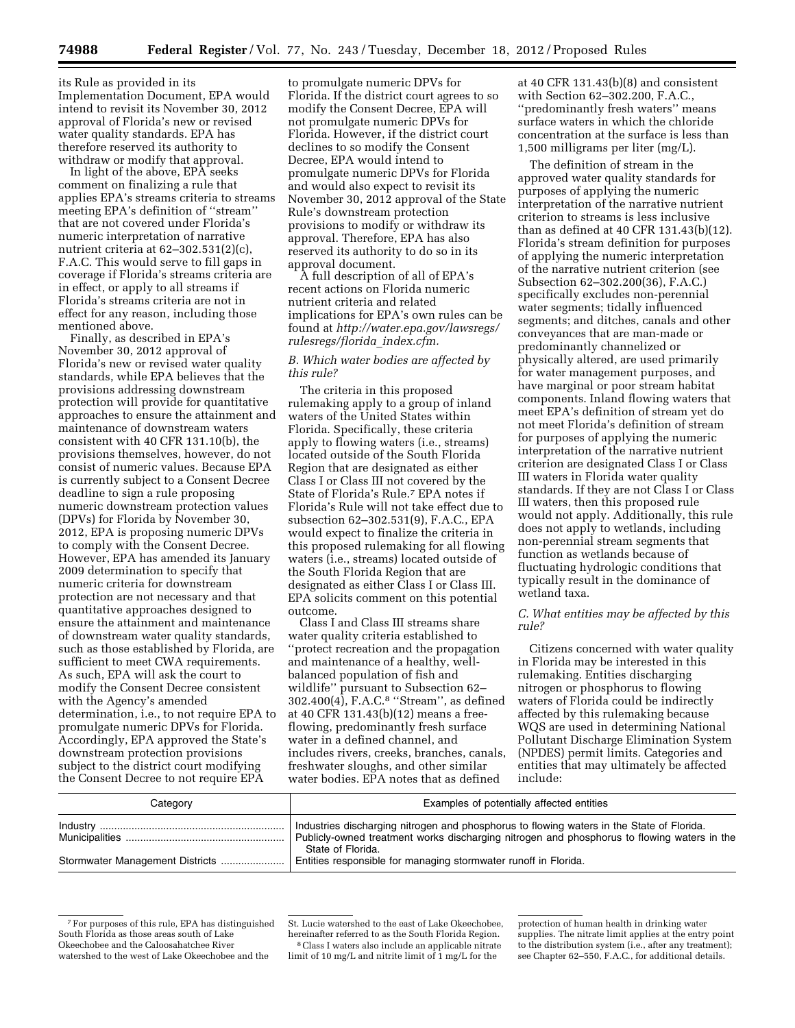its Rule as provided in its Implementation Document, EPA would intend to revisit its November 30, 2012 approval of Florida's new or revised water quality standards. EPA has therefore reserved its authority to withdraw or modify that approval.

In light of the above, EPA seeks comment on finalizing a rule that applies EPA's streams criteria to streams meeting EPA's definition of ''stream'' that are not covered under Florida's numeric interpretation of narrative nutrient criteria at 62–302.531(2)(c), F.A.C. This would serve to fill gaps in coverage if Florida's streams criteria are in effect, or apply to all streams if Florida's streams criteria are not in effect for any reason, including those mentioned above.

Finally, as described in EPA's November 30, 2012 approval of Florida's new or revised water quality standards, while EPA believes that the provisions addressing downstream protection will provide for quantitative approaches to ensure the attainment and maintenance of downstream waters consistent with 40 CFR 131.10(b), the provisions themselves, however, do not consist of numeric values. Because EPA is currently subject to a Consent Decree deadline to sign a rule proposing numeric downstream protection values (DPVs) for Florida by November 30, 2012, EPA is proposing numeric DPVs to comply with the Consent Decree. However, EPA has amended its January 2009 determination to specify that numeric criteria for downstream protection are not necessary and that quantitative approaches designed to ensure the attainment and maintenance of downstream water quality standards, such as those established by Florida, are sufficient to meet CWA requirements. As such, EPA will ask the court to modify the Consent Decree consistent with the Agency's amended determination, i.e., to not require EPA to promulgate numeric DPVs for Florida. Accordingly, EPA approved the State's downstream protection provisions subject to the district court modifying the Consent Decree to not require EPA

to promulgate numeric DPVs for Florida. If the district court agrees to so modify the Consent Decree, EPA will not promulgate numeric DPVs for Florida. However, if the district court declines to so modify the Consent Decree, EPA would intend to promulgate numeric DPVs for Florida and would also expect to revisit its November 30, 2012 approval of the State Rule's downstream protection provisions to modify or withdraw its approval. Therefore, EPA has also reserved its authority to do so in its approval document.

A full description of all of EPA's recent actions on Florida numeric nutrient criteria and related implications for EPA's own rules can be found at *[http://water.epa.gov/lawsregs/](http://water.epa.gov/lawsregs/rulesregs/florida_index.cfm)  [rulesregs/florida](http://water.epa.gov/lawsregs/rulesregs/florida_index.cfm)*\_*index.cfm.* 

### *B. Which water bodies are affected by this rule?*

The criteria in this proposed rulemaking apply to a group of inland waters of the United States within Florida. Specifically, these criteria apply to flowing waters (i.e., streams) located outside of the South Florida Region that are designated as either Class I or Class III not covered by the State of Florida's Rule.7 EPA notes if Florida's Rule will not take effect due to subsection 62–302.531(9), F.A.C., EPA would expect to finalize the criteria in this proposed rulemaking for all flowing waters (i.e., streams) located outside of the South Florida Region that are designated as either Class I or Class III. EPA solicits comment on this potential outcome.

Class I and Class III streams share water quality criteria established to ''protect recreation and the propagation and maintenance of a healthy, wellbalanced population of fish and wildlife'' pursuant to Subsection 62– 302.400(4), F.A.C.8 ''Stream'', as defined at 40 CFR 131.43(b)(12) means a freeflowing, predominantly fresh surface water in a defined channel, and includes rivers, creeks, branches, canals, freshwater sloughs, and other similar water bodies. EPA notes that as defined

at 40 CFR 131.43(b)(8) and consistent with Section 62–302.200, F.A.C., ''predominantly fresh waters'' means surface waters in which the chloride concentration at the surface is less than 1,500 milligrams per liter (mg/L).

The definition of stream in the approved water quality standards for purposes of applying the numeric interpretation of the narrative nutrient criterion to streams is less inclusive than as defined at 40 CFR 131.43(b)(12). Florida's stream definition for purposes of applying the numeric interpretation of the narrative nutrient criterion (see Subsection 62–302.200(36), F.A.C.) specifically excludes non-perennial water segments; tidally influenced segments; and ditches, canals and other conveyances that are man-made or predominantly channelized or physically altered, are used primarily for water management purposes, and have marginal or poor stream habitat components. Inland flowing waters that meet EPA's definition of stream yet do not meet Florida's definition of stream for purposes of applying the numeric interpretation of the narrative nutrient criterion are designated Class I or Class III waters in Florida water quality standards. If they are not Class I or Class III waters, then this proposed rule would not apply. Additionally, this rule does not apply to wetlands, including non-perennial stream segments that function as wetlands because of fluctuating hydrologic conditions that typically result in the dominance of wetland taxa.

### *C. What entities may be affected by this rule?*

Citizens concerned with water quality in Florida may be interested in this rulemaking. Entities discharging nitrogen or phosphorus to flowing waters of Florida could be indirectly affected by this rulemaking because WQS are used in determining National Pollutant Discharge Elimination System (NPDES) permit limits. Categories and entities that may ultimately be affected include:

| Category                        | Examples of potentially affected entities                                                                                                                                                                     |
|---------------------------------|---------------------------------------------------------------------------------------------------------------------------------------------------------------------------------------------------------------|
|                                 | Industries discharging nitrogen and phosphorus to flowing waters in the State of Florida.<br>Publicly-owned treatment works discharging nitrogen and phosphorus to flowing waters in the<br>State of Florida. |
| Stormwater Management Districts | Entities responsible for managing stormwater runoff in Florida.                                                                                                                                               |

<sup>7</sup>For purposes of this rule, EPA has distinguished South Florida as those areas south of Lake Okeechobee and the Caloosahatchee River watershed to the west of Lake Okeechobee and the

St. Lucie watershed to the east of Lake Okeechobee, hereinafter referred to as the South Florida Region. 8Class I waters also include an applicable nitrate limit of 10 mg/L and nitrite limit of 1 mg/L for the

protection of human health in drinking water supplies. The nitrate limit applies at the entry point to the distribution system (i.e., after any treatment); see Chapter 62–550, F.A.C., for additional details.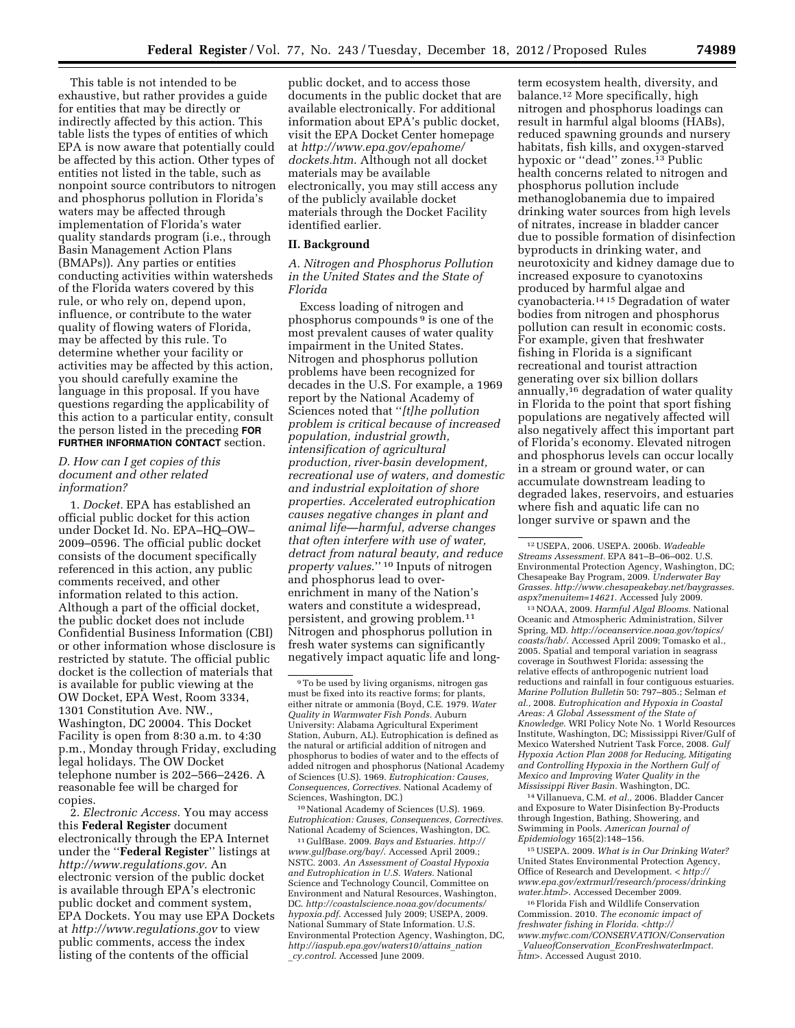This table is not intended to be exhaustive, but rather provides a guide for entities that may be directly or indirectly affected by this action. This table lists the types of entities of which EPA is now aware that potentially could be affected by this action. Other types of entities not listed in the table, such as nonpoint source contributors to nitrogen and phosphorus pollution in Florida's waters may be affected through implementation of Florida's water quality standards program (i.e., through Basin Management Action Plans (BMAPs)). Any parties or entities conducting activities within watersheds of the Florida waters covered by this rule, or who rely on, depend upon, influence, or contribute to the water quality of flowing waters of Florida, may be affected by this rule. To determine whether your facility or activities may be affected by this action, you should carefully examine the language in this proposal. If you have questions regarding the applicability of this action to a particular entity, consult the person listed in the preceding **FOR FURTHER INFORMATION CONTACT** section.

### *D. How can I get copies of this document and other related information?*

1. *Docket.* EPA has established an official public docket for this action under Docket Id. No. EPA–HQ–OW– 2009–0596. The official public docket consists of the document specifically referenced in this action, any public comments received, and other information related to this action. Although a part of the official docket, the public docket does not include Confidential Business Information (CBI) or other information whose disclosure is restricted by statute. The official public docket is the collection of materials that is available for public viewing at the OW Docket, EPA West, Room 3334, 1301 Constitution Ave. NW., Washington, DC 20004. This Docket Facility is open from 8:30 a.m. to 4:30 p.m., Monday through Friday, excluding legal holidays. The OW Docket telephone number is 202–566–2426. A reasonable fee will be charged for copies.

2. *Electronic Access.* You may access this **Federal Register** document electronically through the EPA Internet under the ''**Federal Register**'' listings at *<http://www.regulations.gov>*. An electronic version of the public docket is available through EPA's electronic public docket and comment system, EPA Dockets. You may use EPA Dockets at *<http://www.regulations.gov>* to view public comments, access the index listing of the contents of the official

public docket, and to access those documents in the public docket that are available electronically. For additional information about EPA's public docket, visit the EPA Docket Center homepage at *[http://www.epa.gov/epahome/](http://www.epa.gov/epahome/dockets.htm) [dockets.htm](http://www.epa.gov/epahome/dockets.htm)*. Although not all docket materials may be available electronically, you may still access any of the publicly available docket materials through the Docket Facility identified earlier.

### **II. Background**

*A. Nitrogen and Phosphorus Pollution in the United States and the State of Florida* 

Excess loading of nitrogen and phosphorus compounds 9 is one of the most prevalent causes of water quality impairment in the United States. Nitrogen and phosphorus pollution problems have been recognized for decades in the U.S. For example, a 1969 report by the National Academy of Sciences noted that ''*[t]he pollution problem is critical because of increased population, industrial growth, intensification of agricultural production, river-basin development, recreational use of waters, and domestic and industrial exploitation of shore properties. Accelerated eutrophication causes negative changes in plant and animal life—harmful, adverse changes that often interfere with use of water, detract from natural beauty, and reduce property values*.'' 10 Inputs of nitrogen and phosphorus lead to overenrichment in many of the Nation's waters and constitute a widespread, persistent, and growing problem.11 Nitrogen and phosphorus pollution in fresh water systems can significantly negatively impact aquatic life and long-

10National Academy of Sciences (U.S). 1969. *Eutrophication: Causes, Consequences, Correctives.*  National Academy of Sciences, Washington, DC.

11 GulfBase. 2009. *Bays and Estuaries. [http://](http://www.gulfbase.org/bay/)  [www.gulfbase.org/bay/](http://www.gulfbase.org/bay/)*. Accessed April 2009.; NSTC. 2003. *An Assessment of Coastal Hypoxia and Eutrophication in U.S. Waters.* National Science and Technology Council, Committee on Environment and Natural Resources, Washington, DC. *[http://coastalscience.noaa.gov/documents/](http://coastalscience.noaa.gov/documents/hypoxia.pdf) [hypoxia.pdf](http://coastalscience.noaa.gov/documents/hypoxia.pdf)*. Accessed July 2009; USEPA, 2009. National Summary of State Information. U.S. Environmental Protection Agency, Washington, DC, *[http://iaspub.epa.gov/waters10/attains](http://iaspub.epa.gov/waters10/attains_nation_cy.control)*\_*nation* \_*[cy.control](http://iaspub.epa.gov/waters10/attains_nation_cy.control)*. Accessed June 2009.

term ecosystem health, diversity, and balance.12 More specifically, high nitrogen and phosphorus loadings can result in harmful algal blooms (HABs), reduced spawning grounds and nursery habitats, fish kills, and oxygen-starved hypoxic or ''dead'' zones.13 Public health concerns related to nitrogen and phosphorus pollution include methanoglobanemia due to impaired drinking water sources from high levels of nitrates, increase in bladder cancer due to possible formation of disinfection byproducts in drinking water, and neurotoxicity and kidney damage due to increased exposure to cyanotoxins produced by harmful algae and cyanobacteria.14 15 Degradation of water bodies from nitrogen and phosphorus pollution can result in economic costs. For example, given that freshwater fishing in Florida is a significant recreational and tourist attraction generating over six billion dollars annually,16 degradation of water quality in Florida to the point that sport fishing populations are negatively affected will also negatively affect this important part of Florida's economy. Elevated nitrogen and phosphorus levels can occur locally in a stream or ground water, or can accumulate downstream leading to degraded lakes, reservoirs, and estuaries where fish and aquatic life can no longer survive or spawn and the

13NOAA, 2009. *Harmful Algal Blooms.* National Oceanic and Atmospheric Administration, Silver Spring, MD. *[http://oceanservice.noaa.gov/topics/](http://oceanservice.noaa.gov/topics/coasts/hab/) [coasts/hab/](http://oceanservice.noaa.gov/topics/coasts/hab/)*. Accessed April 2009; Tomasko et al., 2005. Spatial and temporal variation in seagrass coverage in Southwest Florida: assessing the relative effects of anthropogenic nutrient load reductions and rainfall in four contiguous estuaries. *Marine Pollution Bulletin* 50: 797–805.; Selman *et al.,* 2008. *Eutrophication and Hypoxia in Coastal Areas: A Global Assessment of the State of Knowledge.* WRI Policy Note No. 1 World Resources Institute, Washington, DC; Mississippi River/Gulf of Mexico Watershed Nutrient Task Force, 2008. *Gulf Hypoxia Action Plan 2008 for Reducing, Mitigating and Controlling Hypoxia in the Northern Gulf of Mexico and Improving Water Quality in the Mississippi River Basin.* Washington, DC.

14 Villanueva, C.M. *et al.,* 2006. Bladder Cancer and Exposure to Water Disinfection By-Products through Ingestion, Bathing, Showering, and Swimming in Pools. *American Journal of Epidemiology* 165(2):148–156.

15USEPA. 2009. *What is in Our Drinking Water?*  United States Environmental Protection Agency, Office of Research and Development. < *[http://](http://www.epa.gov/extrmurl/research/process/drinkingwater.html)  [www.epa.gov/extrmurl/research/process/drinking](http://www.epa.gov/extrmurl/research/process/drinkingwater.html) [water.html](http://www.epa.gov/extrmurl/research/process/drinkingwater.html)*>. Accessed December 2009.

16Florida Fish and Wildlife Conservation Commission. 2010. *The economic impact of freshwater fishing in Florida. [<http://](http://www.myfwc.com/CONSERVATION/Conservation_ValueofConservation_EconFreshwaterImpact.htm)  [www.myfwc.com/CONSERVATION/Conservation](http://www.myfwc.com/CONSERVATION/Conservation_ValueofConservation_EconFreshwaterImpact.htm)* \_*ValueofConservation*\_*[EconFreshwaterImpact.](http://www.myfwc.com/CONSERVATION/Conservation_ValueofConservation_EconFreshwaterImpact.htm) [htm>](http://www.myfwc.com/CONSERVATION/Conservation_ValueofConservation_EconFreshwaterImpact.htm)*. Accessed August 2010.

<sup>9</sup>To be used by living organisms, nitrogen gas must be fixed into its reactive forms; for plants, either nitrate or ammonia (Boyd, C.E. 1979. *Water Quality in Warmwater Fish Ponds.* Auburn University: Alabama Agricultural Experiment Station, Auburn, AL). Eutrophication is defined as the natural or artificial addition of nitrogen and phosphorus to bodies of water and to the effects of added nitrogen and phosphorus (National Academy of Sciences (U.S). 1969. *Eutrophication: Causes, Consequences, Correctives.* National Academy of Sciences, Washington, DC.)

<sup>12</sup>USEPA, 2006. USEPA. 2006b. *Wadeable Streams Assessment.* EPA 841–B–06–002. U.S. Environmental Protection Agency, Washington, DC; Chesapeake Bay Program, 2009. *Underwater Bay Grasses. [http://www.chesapeakebay.net/baygrasses.](http://www.chesapeakebay.net/baygrasses.aspx?menuitem=14621) [aspx?menuitem=14621](http://www.chesapeakebay.net/baygrasses.aspx?menuitem=14621)*. Accessed July 2009.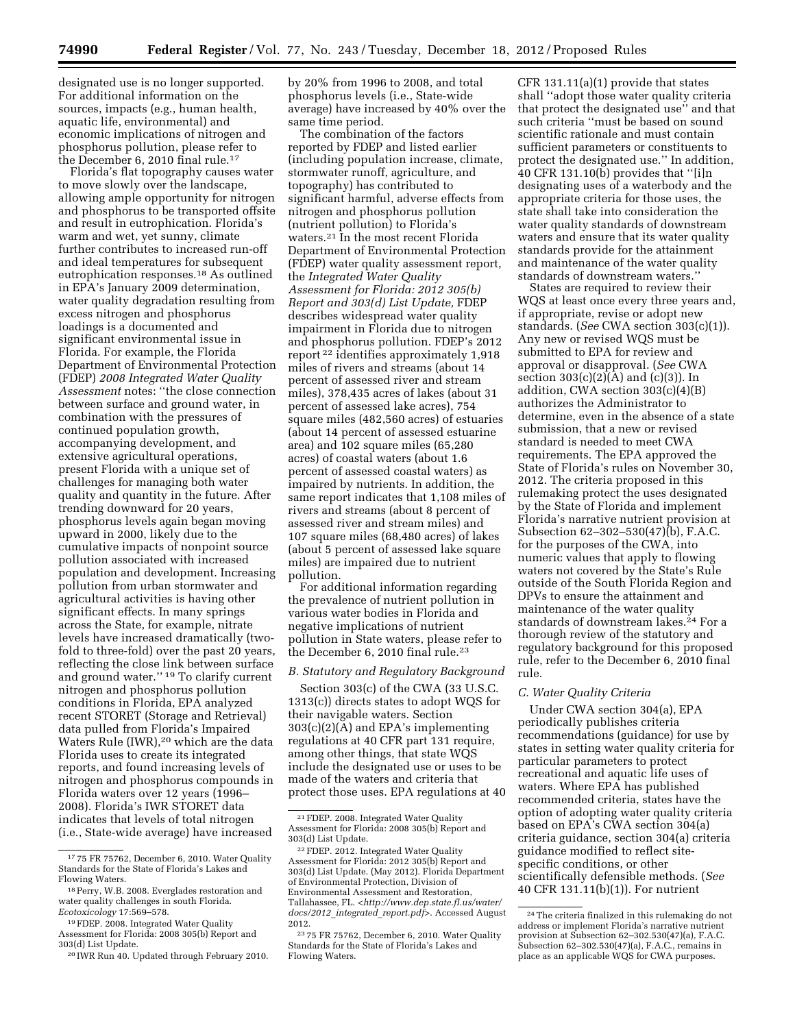designated use is no longer supported. For additional information on the sources, impacts (e.g., human health, aquatic life, environmental) and economic implications of nitrogen and phosphorus pollution, please refer to the December 6, 2010 final rule.17

Florida's flat topography causes water to move slowly over the landscape, allowing ample opportunity for nitrogen and phosphorus to be transported offsite and result in eutrophication. Florida's warm and wet, yet sunny, climate further contributes to increased run-off and ideal temperatures for subsequent eutrophication responses.18 As outlined in EPA's January 2009 determination, water quality degradation resulting from excess nitrogen and phosphorus loadings is a documented and significant environmental issue in Florida. For example, the Florida Department of Environmental Protection (FDEP) *2008 Integrated Water Quality Assessment* notes: ''the close connection between surface and ground water, in combination with the pressures of continued population growth, accompanying development, and extensive agricultural operations, present Florida with a unique set of challenges for managing both water quality and quantity in the future. After trending downward for 20 years, phosphorus levels again began moving upward in 2000, likely due to the cumulative impacts of nonpoint source pollution associated with increased population and development. Increasing pollution from urban stormwater and agricultural activities is having other significant effects. In many springs across the State, for example, nitrate levels have increased dramatically (twofold to three-fold) over the past 20 years, reflecting the close link between surface and ground water.'' 19 To clarify current nitrogen and phosphorus pollution conditions in Florida, EPA analyzed recent STORET (Storage and Retrieval) data pulled from Florida's Impaired Waters Rule (IWR),20 which are the data Florida uses to create its integrated reports, and found increasing levels of nitrogen and phosphorus compounds in Florida waters over 12 years (1996– 2008). Florida's IWR STORET data indicates that levels of total nitrogen (i.e., State-wide average) have increased

by 20% from 1996 to 2008, and total phosphorus levels (i.e., State-wide average) have increased by 40% over the same time period.

The combination of the factors reported by FDEP and listed earlier (including population increase, climate, stormwater runoff, agriculture, and topography) has contributed to significant harmful, adverse effects from nitrogen and phosphorus pollution (nutrient pollution) to Florida's waters.21 In the most recent Florida Department of Environmental Protection (FDEP) water quality assessment report, the *Integrated Water Quality Assessment for Florida: 2012 305(b) Report and 303(d) List Update,* FDEP describes widespread water quality impairment in Florida due to nitrogen and phosphorus pollution. FDEP's 2012 report 22 identifies approximately 1,918 miles of rivers and streams (about 14 percent of assessed river and stream miles), 378,435 acres of lakes (about 31 percent of assessed lake acres), 754 square miles (482,560 acres) of estuaries (about 14 percent of assessed estuarine area) and 102 square miles (65,280 acres) of coastal waters (about 1.6 percent of assessed coastal waters) as impaired by nutrients. In addition, the same report indicates that 1,108 miles of rivers and streams (about 8 percent of assessed river and stream miles) and 107 square miles (68,480 acres) of lakes (about 5 percent of assessed lake square miles) are impaired due to nutrient pollution.

For additional information regarding the prevalence of nutrient pollution in various water bodies in Florida and negative implications of nutrient pollution in State waters, please refer to the December 6, 2010 final rule.23

## *B. Statutory and Regulatory Background*

Section 303(c) of the CWA (33 U.S.C. 1313(c)) directs states to adopt WQS for their navigable waters. Section 303(c)(2)(A) and EPA's implementing regulations at 40 CFR part 131 require, among other things, that state WQS include the designated use or uses to be made of the waters and criteria that protect those uses. EPA regulations at 40

CFR 131.11(a)(1) provide that states shall ''adopt those water quality criteria that protect the designated use'' and that such criteria ''must be based on sound scientific rationale and must contain sufficient parameters or constituents to protect the designated use.'' In addition, 40 CFR 131.10(b) provides that ''[i]n designating uses of a waterbody and the appropriate criteria for those uses, the state shall take into consideration the water quality standards of downstream waters and ensure that its water quality standards provide for the attainment and maintenance of the water quality standards of downstream waters.''

States are required to review their WQS at least once every three years and, if appropriate, revise or adopt new standards. (*See* CWA section 303(c)(1)). Any new or revised WQS must be submitted to EPA for review and approval or disapproval. (*See* CWA section  $303(c)(2)(A)$  and  $(c)(3)$ ). In addition, CWA section 303(c)(4)(B) authorizes the Administrator to determine, even in the absence of a state submission, that a new or revised standard is needed to meet CWA requirements. The EPA approved the State of Florida's rules on November 30, 2012. The criteria proposed in this rulemaking protect the uses designated by the State of Florida and implement Florida's narrative nutrient provision at Subsection 62–302–530(47)(b), F.A.C. for the purposes of the CWA, into numeric values that apply to flowing waters not covered by the State's Rule outside of the South Florida Region and DPVs to ensure the attainment and maintenance of the water quality standards of downstream lakes.24 For a thorough review of the statutory and regulatory background for this proposed rule, refer to the December 6, 2010 final rule.

#### *C. Water Quality Criteria*

Under CWA section 304(a), EPA periodically publishes criteria recommendations (guidance) for use by states in setting water quality criteria for particular parameters to protect recreational and aquatic life uses of waters. Where EPA has published recommended criteria, states have the option of adopting water quality criteria based on EPA's CWA section 304(a) criteria guidance, section 304(a) criteria guidance modified to reflect sitespecific conditions, or other scientifically defensible methods. (*See*  40 CFR 131.11(b)(1)). For nutrient

<sup>17</sup> 75 FR 75762, December 6, 2010. Water Quality Standards for the State of Florida's Lakes and Flowing Waters.

<sup>18</sup>Perry, W.B. 2008. Everglades restoration and water quality challenges in south Florida. *Ecotoxicology* 17:569–578.

<sup>&</sup>lt;sup>19</sup> FDEP. 2008. Integrated Water Quality Assessment for Florida: 2008 305(b) Report and 303(d) List Update.

<sup>20</sup> IWR Run 40. Updated through February 2010.

<sup>21</sup>FDEP. 2008. Integrated Water Quality Assessment for Florida: 2008 305(b) Report and 303(d) List Update.

<sup>22</sup>FDEP. 2012. Integrated Water Quality Assessment for Florida: 2012 305(b) Report and 303(d) List Update. (May 2012). Florida Department of Environmental Protection, Division of Environmental Assessment and Restoration, Tallahassee, FL. <*[http://www.dep.state.fl.us/water/](http://www.dep.state.fl.us/water/docs/2012_integrated_report.pdf) [docs/2012](http://www.dep.state.fl.us/water/docs/2012_integrated_report.pdf)*\_*integrated*\_*report.pdf*>. Accessed August 2012.

<sup>23</sup> 75 FR 75762, December 6, 2010. Water Quality Standards for the State of Florida's Lakes and Flowing Waters.

<sup>24</sup>The criteria finalized in this rulemaking do not address or implement Florida's narrative nutrient provision at Subsection 62–302.530(47)(a), F.A.C. Subsection 62–302.530(47)(a), F.A.C., remains in place as an applicable WQS for CWA purposes.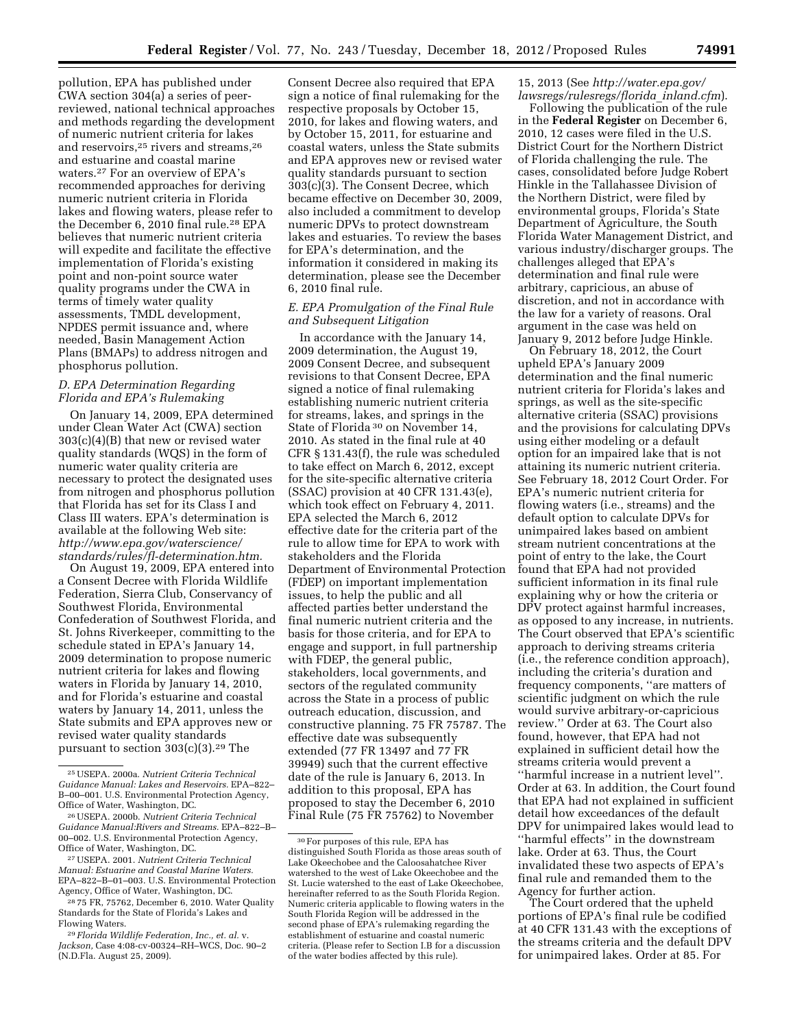pollution, EPA has published under CWA section 304(a) a series of peerreviewed, national technical approaches and methods regarding the development of numeric nutrient criteria for lakes and reservoirs,<sup>25</sup> rivers and streams,<sup>26</sup> and estuarine and coastal marine waters.27 For an overview of EPA's recommended approaches for deriving numeric nutrient criteria in Florida lakes and flowing waters, please refer to the December 6, 2010 final rule.28 EPA believes that numeric nutrient criteria will expedite and facilitate the effective implementation of Florida's existing point and non-point source water quality programs under the CWA in terms of timely water quality assessments, TMDL development, NPDES permit issuance and, where needed, Basin Management Action Plans (BMAPs) to address nitrogen and phosphorus pollution.

## *D. EPA Determination Regarding Florida and EPA's Rulemaking*

On January 14, 2009, EPA determined under Clean Water Act (CWA) section 303(c)(4)(B) that new or revised water quality standards (WQS) in the form of numeric water quality criteria are necessary to protect the designated uses from nitrogen and phosphorus pollution that Florida has set for its Class I and Class III waters. EPA's determination is available at the following Web site: *[http://www.epa.gov/waterscience/](http://www.epa.gov/waterscience/standards/rules/fl-determination.htm) [standards/rules/fl-determination.htm.](http://www.epa.gov/waterscience/standards/rules/fl-determination.htm)* 

On August 19, 2009, EPA entered into a Consent Decree with Florida Wildlife Federation, Sierra Club, Conservancy of Southwest Florida, Environmental Confederation of Southwest Florida, and St. Johns Riverkeeper, committing to the schedule stated in EPA's January 14, 2009 determination to propose numeric nutrient criteria for lakes and flowing waters in Florida by January 14, 2010, and for Florida's estuarine and coastal waters by January 14, 2011, unless the State submits and EPA approves new or revised water quality standards pursuant to section 303(c)(3).29 The

Consent Decree also required that EPA sign a notice of final rulemaking for the respective proposals by October 15, 2010, for lakes and flowing waters, and by October 15, 2011, for estuarine and coastal waters, unless the State submits and EPA approves new or revised water quality standards pursuant to section 303(c)(3). The Consent Decree, which became effective on December 30, 2009, also included a commitment to develop numeric DPVs to protect downstream lakes and estuaries. To review the bases for EPA's determination, and the information it considered in making its determination, please see the December 6, 2010 final rule.

### *E. EPA Promulgation of the Final Rule and Subsequent Litigation*

In accordance with the January 14, 2009 determination, the August 19, 2009 Consent Decree, and subsequent revisions to that Consent Decree, EPA signed a notice of final rulemaking establishing numeric nutrient criteria for streams, lakes, and springs in the State of Florida 30 on November 14, 2010. As stated in the final rule at 40 CFR § 131.43(f), the rule was scheduled to take effect on March 6, 2012, except for the site-specific alternative criteria (SSAC) provision at 40 CFR 131.43(e), which took effect on February 4, 2011. EPA selected the March 6, 2012 effective date for the criteria part of the rule to allow time for EPA to work with stakeholders and the Florida Department of Environmental Protection (FDEP) on important implementation issues, to help the public and all affected parties better understand the final numeric nutrient criteria and the basis for those criteria, and for EPA to engage and support, in full partnership with FDEP, the general public, stakeholders, local governments, and sectors of the regulated community across the State in a process of public outreach education, discussion, and constructive planning. 75 FR 75787. The effective date was subsequently extended (77 FR 13497 and 77 FR 39949) such that the current effective date of the rule is January 6, 2013. In addition to this proposal, EPA has proposed to stay the December 6, 2010 Final Rule (75 FR 75762) to November

## 15, 2013 (See *[http://water.epa.gov/](http://water.epa.gov/lawsregs/rulesregs/florida_inland.cfm) [lawsregs/rulesregs/florida](http://water.epa.gov/lawsregs/rulesregs/florida_inland.cfm)*\_*inland.cfm*).

Following the publication of the rule in the **Federal Register** on December 6, 2010, 12 cases were filed in the U.S. District Court for the Northern District of Florida challenging the rule. The cases, consolidated before Judge Robert Hinkle in the Tallahassee Division of the Northern District, were filed by environmental groups, Florida's State Department of Agriculture, the South Florida Water Management District, and various industry/discharger groups. The challenges alleged that EPA's determination and final rule were arbitrary, capricious, an abuse of discretion, and not in accordance with the law for a variety of reasons. Oral argument in the case was held on January 9, 2012 before Judge Hinkle.

On February 18, 2012, the Court upheld EPA's January 2009 determination and the final numeric nutrient criteria for Florida's lakes and springs, as well as the site-specific alternative criteria (SSAC) provisions and the provisions for calculating DPVs using either modeling or a default option for an impaired lake that is not attaining its numeric nutrient criteria. See February 18, 2012 Court Order. For EPA's numeric nutrient criteria for flowing waters (i.e., streams) and the default option to calculate DPVs for unimpaired lakes based on ambient stream nutrient concentrations at the point of entry to the lake, the Court found that EPA had not provided sufficient information in its final rule explaining why or how the criteria or DPV protect against harmful increases, as opposed to any increase, in nutrients. The Court observed that EPA's scientific approach to deriving streams criteria (i.e., the reference condition approach), including the criteria's duration and frequency components, ''are matters of scientific judgment on which the rule would survive arbitrary-or-capricious review.'' Order at 63. The Court also found, however, that EPA had not explained in sufficient detail how the streams criteria would prevent a ''harmful increase in a nutrient level''. Order at 63. In addition, the Court found that EPA had not explained in sufficient detail how exceedances of the default DPV for unimpaired lakes would lead to ''harmful effects'' in the downstream lake. Order at 63. Thus, the Court invalidated these two aspects of EPA's final rule and remanded them to the Agency for further action.

The Court ordered that the upheld portions of EPA's final rule be codified at 40 CFR 131.43 with the exceptions of the streams criteria and the default DPV for unimpaired lakes. Order at 85. For

<sup>25</sup>USEPA. 2000a. *Nutrient Criteria Technical Guidance Manual: Lakes and Reservoirs.* EPA–822– B–00–001. U.S. Environmental Protection Agency, Office of Water, Washington, DC.

<sup>26</sup>USEPA. 2000b. *Nutrient Criteria Technical Guidance Manual:Rivers and Streams.* EPA–822–B– 00–002. U.S. Environmental Protection Agency, Office of Water, Washington, DC.

<sup>27</sup>USEPA. 2001. *Nutrient Criteria Technical Manual: Estuarine and Coastal Marine Waters.*  EPA–822–B–01–003. U.S. Environmental Protection Agency, Office of Water, Washington, DC.

<sup>28</sup> 75 FR, 75762, December 6, 2010. Water Quality Standards for the State of Florida's Lakes and Flowing Waters.

<sup>29</sup> *Florida Wildlife Federation, Inc., et. al.* v. *Jackson,* Case 4:08-cv-00324–RH–WCS, Doc. 90–2 (N.D.Fla. August 25, 2009).

<sup>30</sup>For purposes of this rule, EPA has distinguished South Florida as those areas south of Lake Okeechobee and the Caloosahatchee River watershed to the west of Lake Okeechobee and the St. Lucie watershed to the east of Lake Okeechobee, hereinafter referred to as the South Florida Region. Numeric criteria applicable to flowing waters in the South Florida Region will be addressed in the second phase of EPA's rulemaking regarding the establishment of estuarine and coastal numeric criteria. (Please refer to Section I.B for a discussion of the water bodies affected by this rule).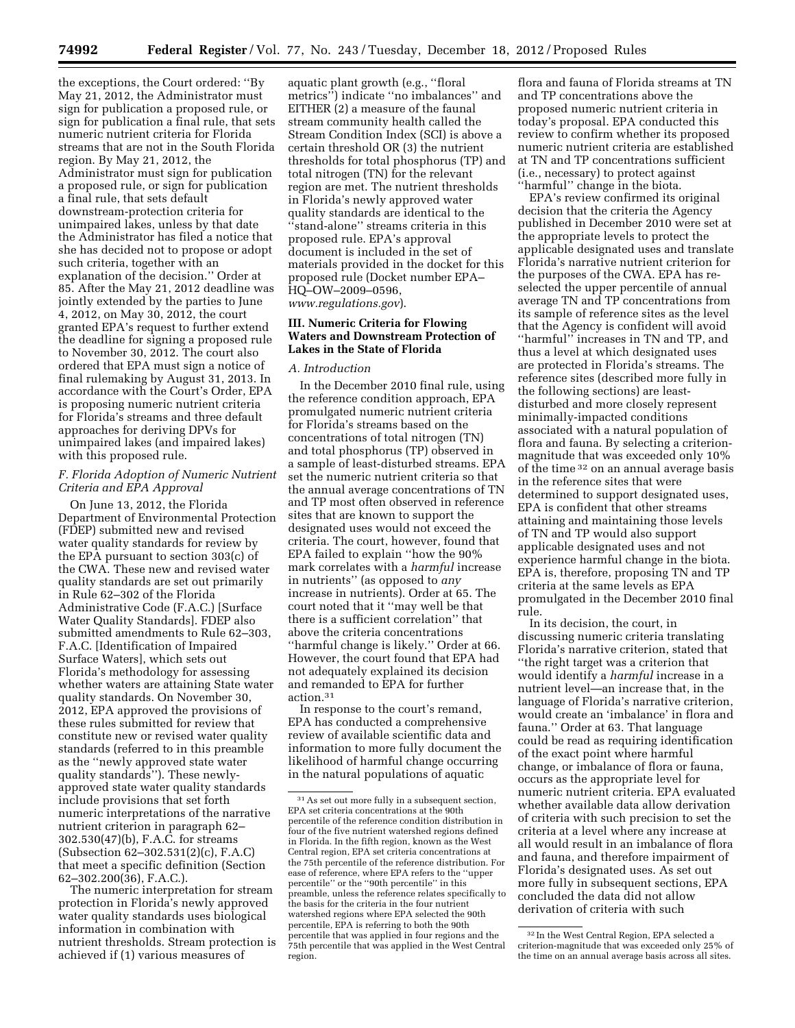the exceptions, the Court ordered: ''By May 21, 2012, the Administrator must sign for publication a proposed rule, or sign for publication a final rule, that sets numeric nutrient criteria for Florida streams that are not in the South Florida region. By May 21, 2012, the Administrator must sign for publication a proposed rule, or sign for publication a final rule, that sets default downstream-protection criteria for unimpaired lakes, unless by that date the Administrator has filed a notice that she has decided not to propose or adopt such criteria, together with an explanation of the decision.'' Order at 85. After the May 21, 2012 deadline was jointly extended by the parties to June 4, 2012, on May 30, 2012, the court granted EPA's request to further extend the deadline for signing a proposed rule to November 30, 2012. The court also ordered that EPA must sign a notice of final rulemaking by August 31, 2013. In accordance with the Court's Order, EPA is proposing numeric nutrient criteria for Florida's streams and three default approaches for deriving DPVs for unimpaired lakes (and impaired lakes) with this proposed rule.

### *F. Florida Adoption of Numeric Nutrient Criteria and EPA Approval*

On June 13, 2012, the Florida Department of Environmental Protection (FDEP) submitted new and revised water quality standards for review by the EPA pursuant to section 303(c) of the CWA. These new and revised water quality standards are set out primarily in Rule 62–302 of the Florida Administrative Code (F.A.C.) [Surface Water Quality Standards]. FDEP also submitted amendments to Rule 62–303, F.A.C. [Identification of Impaired Surface Waters], which sets out Florida's methodology for assessing whether waters are attaining State water quality standards. On November 30, 2012, EPA approved the provisions of these rules submitted for review that constitute new or revised water quality standards (referred to in this preamble as the ''newly approved state water quality standards''). These newlyapproved state water quality standards include provisions that set forth numeric interpretations of the narrative nutrient criterion in paragraph 62– 302.530(47)(b), F.A.C. for streams (Subsection 62–302.531(2)(c), F.A.C) that meet a specific definition (Section 62–302.200(36), F.A.C.).

The numeric interpretation for stream protection in Florida's newly approved water quality standards uses biological information in combination with nutrient thresholds. Stream protection is achieved if (1) various measures of

aquatic plant growth (e.g., ''floral metrics'') indicate ''no imbalances'' and EITHER (2) a measure of the faunal stream community health called the Stream Condition Index (SCI) is above a certain threshold OR (3) the nutrient thresholds for total phosphorus (TP) and total nitrogen (TN) for the relevant region are met. The nutrient thresholds in Florida's newly approved water quality standards are identical to the ''stand-alone'' streams criteria in this proposed rule. EPA's approval document is included in the set of materials provided in the docket for this proposed rule (Docket number EPA– HQ–OW–2009–0596, *[www.regulations.gov](http://www.regulations.gov)*).

### **III. Numeric Criteria for Flowing Waters and Downstream Protection of Lakes in the State of Florida**

## *A. Introduction*

In the December 2010 final rule, using the reference condition approach, EPA promulgated numeric nutrient criteria for Florida's streams based on the concentrations of total nitrogen (TN) and total phosphorus (TP) observed in a sample of least-disturbed streams. EPA set the numeric nutrient criteria so that the annual average concentrations of TN and TP most often observed in reference sites that are known to support the designated uses would not exceed the criteria. The court, however, found that EPA failed to explain ''how the 90% mark correlates with a *harmful* increase in nutrients'' (as opposed to *any*  increase in nutrients). Order at 65. The court noted that it ''may well be that there is a sufficient correlation'' that above the criteria concentrations ''harmful change is likely.'' Order at 66. However, the court found that EPA had not adequately explained its decision and remanded to EPA for further action.31

In response to the court's remand, EPA has conducted a comprehensive review of available scientific data and information to more fully document the likelihood of harmful change occurring in the natural populations of aquatic

flora and fauna of Florida streams at TN and TP concentrations above the proposed numeric nutrient criteria in today's proposal. EPA conducted this review to confirm whether its proposed numeric nutrient criteria are established at TN and TP concentrations sufficient (i.e., necessary) to protect against 'harmful'' change in the biota.

EPA's review confirmed its original decision that the criteria the Agency published in December 2010 were set at the appropriate levels to protect the applicable designated uses and translate Florida's narrative nutrient criterion for the purposes of the CWA. EPA has reselected the upper percentile of annual average TN and TP concentrations from its sample of reference sites as the level that the Agency is confident will avoid ''harmful'' increases in TN and TP, and thus a level at which designated uses are protected in Florida's streams. The reference sites (described more fully in the following sections) are leastdisturbed and more closely represent minimally-impacted conditions associated with a natural population of flora and fauna. By selecting a criterionmagnitude that was exceeded only 10% of the time 32 on an annual average basis in the reference sites that were determined to support designated uses, EPA is confident that other streams attaining and maintaining those levels of TN and TP would also support applicable designated uses and not experience harmful change in the biota. EPA is, therefore, proposing TN and TP criteria at the same levels as EPA promulgated in the December 2010 final rule.

In its decision, the court, in discussing numeric criteria translating Florida's narrative criterion, stated that ''the right target was a criterion that would identify a *harmful* increase in a nutrient level—an increase that, in the language of Florida's narrative criterion, would create an 'imbalance' in flora and fauna.'' Order at 63. That language could be read as requiring identification of the exact point where harmful change, or imbalance of flora or fauna, occurs as the appropriate level for numeric nutrient criteria. EPA evaluated whether available data allow derivation of criteria with such precision to set the criteria at a level where any increase at all would result in an imbalance of flora and fauna, and therefore impairment of Florida's designated uses. As set out more fully in subsequent sections, EPA concluded the data did not allow derivation of criteria with such

<sup>31</sup>As set out more fully in a subsequent section, EPA set criteria concentrations at the 90th percentile of the reference condition distribution in four of the five nutrient watershed regions defined in Florida. In the fifth region, known as the West Central region, EPA set criteria concentrations at the 75th percentile of the reference distribution. For ease of reference, where EPA refers to the ''upper percentile'' or the ''90th percentile'' in this preamble, unless the reference relates specifically to the basis for the criteria in the four nutrient watershed regions where EPA selected the 90th percentile, EPA is referring to both the 90th percentile that was applied in four regions and the 75th percentile that was applied in the West Central region.

<sup>32</sup> In the West Central Region, EPA selected a criterion-magnitude that was exceeded only 25% of the time on an annual average basis across all sites.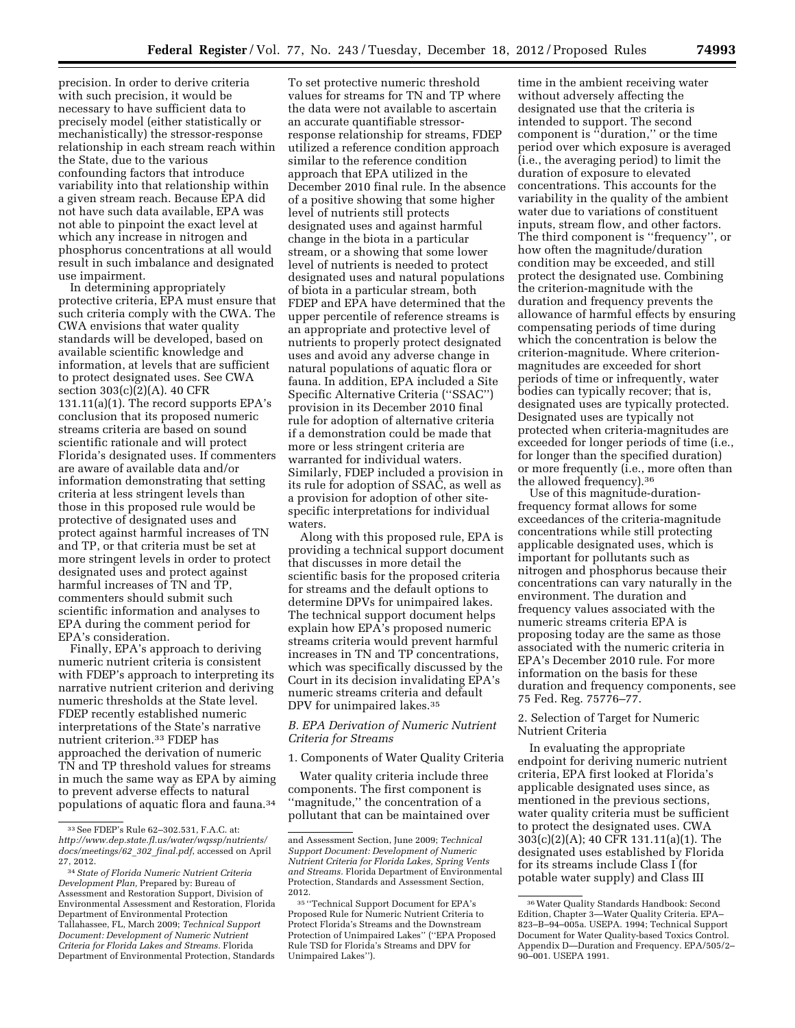precision. In order to derive criteria with such precision, it would be necessary to have sufficient data to precisely model (either statistically or mechanistically) the stressor-response relationship in each stream reach within the State, due to the various confounding factors that introduce variability into that relationship within a given stream reach. Because EPA did not have such data available, EPA was not able to pinpoint the exact level at which any increase in nitrogen and phosphorus concentrations at all would result in such imbalance and designated

use impairment. In determining appropriately protective criteria, EPA must ensure that such criteria comply with the CWA. The CWA envisions that water quality standards will be developed, based on available scientific knowledge and information, at levels that are sufficient to protect designated uses. See CWA section 303(c)(2)(A). 40 CFR 131.11(a)(1). The record supports EPA's conclusion that its proposed numeric streams criteria are based on sound scientific rationale and will protect Florida's designated uses. If commenters are aware of available data and/or information demonstrating that setting criteria at less stringent levels than those in this proposed rule would be protective of designated uses and protect against harmful increases of TN and TP, or that criteria must be set at more stringent levels in order to protect designated uses and protect against harmful increases of TN and TP, commenters should submit such scientific information and analyses to EPA during the comment period for EPA's consideration.

Finally, EPA's approach to deriving numeric nutrient criteria is consistent with FDEP's approach to interpreting its narrative nutrient criterion and deriving numeric thresholds at the State level. FDEP recently established numeric interpretations of the State's narrative nutrient criterion.33 FDEP has approached the derivation of numeric TN and TP threshold values for streams in much the same way as EPA by aiming to prevent adverse effects to natural populations of aquatic flora and fauna.34

To set protective numeric threshold values for streams for TN and TP where the data were not available to ascertain an accurate quantifiable stressorresponse relationship for streams, FDEP utilized a reference condition approach similar to the reference condition approach that EPA utilized in the December 2010 final rule. In the absence of a positive showing that some higher level of nutrients still protects designated uses and against harmful change in the biota in a particular stream, or a showing that some lower level of nutrients is needed to protect designated uses and natural populations of biota in a particular stream, both FDEP and EPA have determined that the upper percentile of reference streams is an appropriate and protective level of nutrients to properly protect designated uses and avoid any adverse change in natural populations of aquatic flora or fauna. In addition, EPA included a Site Specific Alternative Criteria (''SSAC'') provision in its December 2010 final rule for adoption of alternative criteria if a demonstration could be made that more or less stringent criteria are warranted for individual waters. Similarly, FDEP included a provision in its rule for adoption of SSAC, as well as a provision for adoption of other sitespecific interpretations for individual waters.

Along with this proposed rule, EPA is providing a technical support document that discusses in more detail the scientific basis for the proposed criteria for streams and the default options to determine DPVs for unimpaired lakes. The technical support document helps explain how EPA's proposed numeric streams criteria would prevent harmful increases in TN and TP concentrations, which was specifically discussed by the Court in its decision invalidating EPA's numeric streams criteria and default DPV for unimpaired lakes.<sup>35</sup>

## *B. EPA Derivation of Numeric Nutrient Criteria for Streams*

1. Components of Water Quality Criteria

Water quality criteria include three components. The first component is ''magnitude,'' the concentration of a pollutant that can be maintained over

time in the ambient receiving water without adversely affecting the designated use that the criteria is intended to support. The second component is ''duration,'' or the time period over which exposure is averaged (i.e., the averaging period) to limit the duration of exposure to elevated concentrations. This accounts for the variability in the quality of the ambient water due to variations of constituent inputs, stream flow, and other factors. The third component is ''frequency'', or how often the magnitude/duration condition may be exceeded, and still protect the designated use. Combining the criterion-magnitude with the duration and frequency prevents the allowance of harmful effects by ensuring compensating periods of time during which the concentration is below the criterion-magnitude. Where criterionmagnitudes are exceeded for short periods of time or infrequently, water bodies can typically recover; that is, designated uses are typically protected. Designated uses are typically not protected when criteria-magnitudes are exceeded for longer periods of time (i.e., for longer than the specified duration) or more frequently (i.e., more often than the allowed frequency).36

Use of this magnitude-durationfrequency format allows for some exceedances of the criteria-magnitude concentrations while still protecting applicable designated uses, which is important for pollutants such as nitrogen and phosphorus because their concentrations can vary naturally in the environment. The duration and frequency values associated with the numeric streams criteria EPA is proposing today are the same as those associated with the numeric criteria in EPA's December 2010 rule. For more information on the basis for these duration and frequency components, see 75 Fed. Reg. 75776–77.

2. Selection of Target for Numeric Nutrient Criteria

In evaluating the appropriate endpoint for deriving numeric nutrient criteria, EPA first looked at Florida's applicable designated uses since, as mentioned in the previous sections, water quality criteria must be sufficient to protect the designated uses. CWA 303(c)(2)(A); 40 CFR 131.11(a)(1). The designated uses established by Florida for its streams include Class I (for potable water supply) and Class III

<sup>33</sup>See FDEP's Rule 62–302.531, F.A.C. at: *[http://www.dep.state.fl.us/water/wqssp/nutrients/](http://www.dep.state.fl.us/water/wqssp/nutrients/docs/meetings/62_302_final.pdf)  [docs/meetings/62](http://www.dep.state.fl.us/water/wqssp/nutrients/docs/meetings/62_302_final.pdf)*\_*302*\_*final.pdf*, accessed on April 27, 2012.

<sup>34</sup>*State of Florida Numeric Nutrient Criteria Development Plan,* Prepared by: Bureau of Assessment and Restoration Support, Division of Environmental Assessment and Restoration, Florida Department of Environmental Protection Tallahassee, FL, March 2009; *Technical Support Document: Development of Numeric Nutrient Criteria for Florida Lakes and Streams.* Florida Department of Environmental Protection, Standards

and Assessment Section, June 2009; *Technical Support Document: Development of Numeric Nutrient Criteria for Florida Lakes, Spring Vents and Streams.* Florida Department of Environmental Protection, Standards and Assessment Section, 2012.

<sup>35</sup> ''Technical Support Document for EPA's Proposed Rule for Numeric Nutrient Criteria to Protect Florida's Streams and the Downstream Protection of Unimpaired Lakes'' (''EPA Proposed Rule TSD for Florida's Streams and DPV for Unimpaired Lakes'').

<sup>36</sup>Water Quality Standards Handbook: Second Edition, Chapter 3—Water Quality Criteria. EPA– 823–B–94–005a. USEPA. 1994; Technical Support Document for Water Quality-based Toxics Control. Appendix D—Duration and Frequency. EPA/505/2– 90–001. USEPA 1991.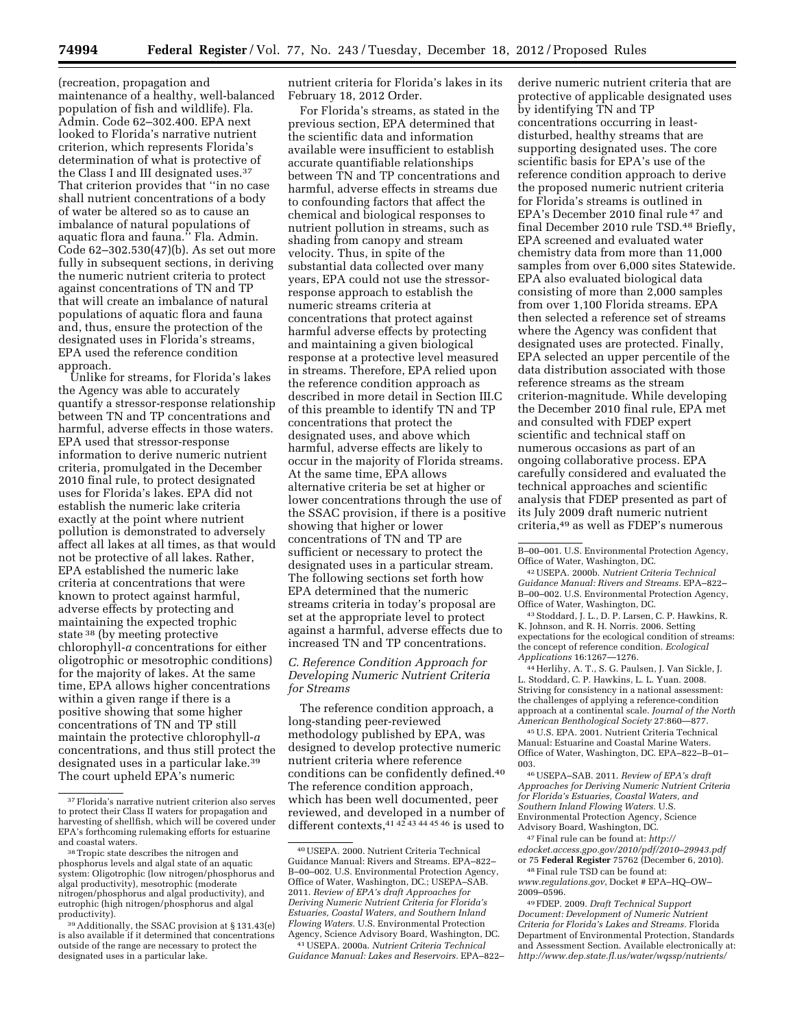(recreation, propagation and maintenance of a healthy, well-balanced population of fish and wildlife). Fla. Admin. Code 62–302.400. EPA next looked to Florida's narrative nutrient criterion, which represents Florida's determination of what is protective of the Class I and III designated uses.37 That criterion provides that ''in no case shall nutrient concentrations of a body of water be altered so as to cause an imbalance of natural populations of aquatic flora and fauna.'' Fla. Admin. Code 62–302.530(47)(b). As set out more fully in subsequent sections, in deriving the numeric nutrient criteria to protect against concentrations of TN and TP that will create an imbalance of natural populations of aquatic flora and fauna and, thus, ensure the protection of the designated uses in Florida's streams, EPA used the reference condition approach.

Unlike for streams, for Florida's lakes the Agency was able to accurately quantify a stressor-response relationship between TN and TP concentrations and harmful, adverse effects in those waters. EPA used that stressor-response information to derive numeric nutrient criteria, promulgated in the December 2010 final rule, to protect designated uses for Florida's lakes. EPA did not establish the numeric lake criteria exactly at the point where nutrient pollution is demonstrated to adversely affect all lakes at all times, as that would not be protective of all lakes. Rather, EPA established the numeric lake criteria at concentrations that were known to protect against harmful, adverse effects by protecting and maintaining the expected trophic state 38 (by meeting protective chlorophyll-*a* concentrations for either oligotrophic or mesotrophic conditions) for the majority of lakes. At the same time, EPA allows higher concentrations within a given range if there is a positive showing that some higher concentrations of TN and TP still maintain the protective chlorophyll-*a*  concentrations, and thus still protect the designated uses in a particular lake.39 The court upheld EPA's numeric

nutrient criteria for Florida's lakes in its February 18, 2012 Order.

For Florida's streams, as stated in the previous section, EPA determined that the scientific data and information available were insufficient to establish accurate quantifiable relationships between TN and TP concentrations and harmful, adverse effects in streams due to confounding factors that affect the chemical and biological responses to nutrient pollution in streams, such as shading from canopy and stream velocity. Thus, in spite of the substantial data collected over many years, EPA could not use the stressorresponse approach to establish the numeric streams criteria at concentrations that protect against harmful adverse effects by protecting and maintaining a given biological response at a protective level measured in streams. Therefore, EPA relied upon the reference condition approach as described in more detail in Section III.C of this preamble to identify TN and TP concentrations that protect the designated uses, and above which harmful, adverse effects are likely to occur in the majority of Florida streams. At the same time, EPA allows alternative criteria be set at higher or lower concentrations through the use of the SSAC provision, if there is a positive showing that higher or lower concentrations of TN and TP are sufficient or necessary to protect the designated uses in a particular stream. The following sections set forth how EPA determined that the numeric streams criteria in today's proposal are set at the appropriate level to protect against a harmful, adverse effects due to increased TN and TP concentrations.

*C. Reference Condition Approach for Developing Numeric Nutrient Criteria for Streams* 

The reference condition approach, a long-standing peer-reviewed methodology published by EPA, was designed to develop protective numeric nutrient criteria where reference conditions can be confidently defined.40 The reference condition approach, which has been well documented, peer reviewed, and developed in a number of different contexts,41 42 43 44 45 46 is used to

derive numeric nutrient criteria that are protective of applicable designated uses by identifying TN and TP concentrations occurring in leastdisturbed, healthy streams that are supporting designated uses. The core scientific basis for EPA's use of the reference condition approach to derive the proposed numeric nutrient criteria for Florida's streams is outlined in EPA's December 2010 final rule 47 and final December 2010 rule TSD.48 Briefly, EPA screened and evaluated water chemistry data from more than 11,000 samples from over 6,000 sites Statewide. EPA also evaluated biological data consisting of more than 2,000 samples from over 1,100 Florida streams. EPA then selected a reference set of streams where the Agency was confident that designated uses are protected. Finally, EPA selected an upper percentile of the data distribution associated with those reference streams as the stream criterion-magnitude. While developing the December 2010 final rule, EPA met and consulted with FDEP expert scientific and technical staff on numerous occasions as part of an ongoing collaborative process. EPA carefully considered and evaluated the technical approaches and scientific analysis that FDEP presented as part of its July 2009 draft numeric nutrient criteria,49 as well as FDEP's numerous

43Stoddard, J. L., D. P. Larsen, C. P. Hawkins, R. K. Johnson, and R. H. Norris. 2006. Setting expectations for the ecological condition of streams: the concept of reference condition. *Ecological Applications* 16:1267—1276.

44Herlihy, A. T., S. G. Paulsen, J. Van Sickle, J. L. Stoddard, C. P. Hawkins, L. L. Yuan. 2008. Striving for consistency in a national assessment: the challenges of applying a reference-condition approach at a continental scale. *Journal of the North American Benthological Society* 27:860—877.

45U.S. EPA. 2001. Nutrient Criteria Technical Manual: Estuarine and Coastal Marine Waters. Office of Water, Washington, DC. EPA–822–B–01– 003.

46USEPA–SAB. 2011. *Review of EPA's draft Approaches for Deriving Numeric Nutrient Criteria for Florida's Estuaries, Coastal Waters, and Southern Inland Flowing Waters.* U.S. Environmental Protection Agency, Science Advisory Board, Washington, DC.

47Final rule can be found at: *[http://](http://edocket.access.gpo.gov/2010/pdf/2010-29943.pdf) [edocket.access.gpo.gov/2010/pdf/2010–29943.pdf](http://edocket.access.gpo.gov/2010/pdf/2010-29943.pdf)*  or 75 **Federal Register** 75762 (December 6, 2010).

48Final rule TSD can be found at: *[www.regulations.gov](http://www.regulations.gov)*, Docket # EPA–HQ–OW– 2009–0596.

49FDEP. 2009. *Draft Technical Support Document: Development of Numeric Nutrient Criteria for Florida's Lakes and Streams.* Florida Department of Environmental Protection, Standards and Assessment Section. Available electronically at: *<http://www.dep.state.fl.us/water/wqssp/nutrients/>*

<sup>37</sup>Florida's narrative nutrient criterion also serves to protect their Class II waters for propagation and harvesting of shellfish, which will be covered under EPA's forthcoming rulemaking efforts for estuarine

<sup>38</sup> Tropic state describes the nitrogen and phosphorus levels and algal state of an aquatic system: Oligotrophic (low nitrogen/phosphorus and algal productivity), mesotrophic (moderate nitrogen/phosphorus and algal productivity), and eutrophic (high nitrogen/phosphorus and algal

<sup>&</sup>lt;sup>39</sup> Additionally, the SSAC provision at § 131.43(e) is also available if it determined that concentrations outside of the range are necessary to protect the designated uses in a particular lake.

<sup>40</sup>USEPA. 2000. Nutrient Criteria Technical Guidance Manual: Rivers and Streams. EPA–822– B–00–002. U.S. Environmental Protection Agency, Office of Water, Washington, DC.; USEPA–SAB. 2011. *Review of EPA's draft Approaches for Deriving Numeric Nutrient Criteria for Florida's Estuaries, Coastal Waters, and Southern Inland Flowing Waters.* U.S. Environmental Protection Agency, Science Advisory Board, Washington, DC.

<sup>41</sup>USEPA. 2000a. *Nutrient Criteria Technical Guidance Manual: Lakes and Reservoirs.* EPA–822–

B–00–001. U.S. Environmental Protection Agency, Office of Water, Washington, DC.

<sup>42</sup>USEPA. 2000b. *Nutrient Criteria Technical Guidance Manual: Rivers and Streams.* EPA–822– B–00–002. U.S. Environmental Protection Agency, Office of Water, Washington, DC.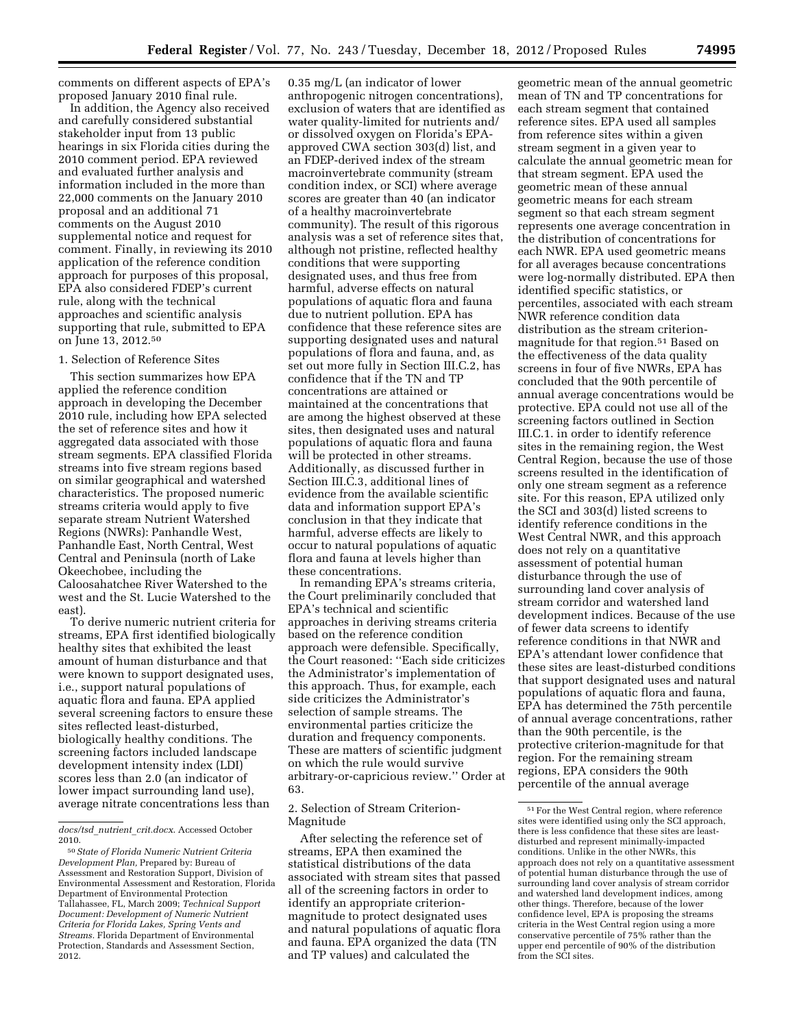comments on different aspects of EPA's proposed January 2010 final rule.

In addition, the Agency also received and carefully considered substantial stakeholder input from 13 public hearings in six Florida cities during the 2010 comment period. EPA reviewed and evaluated further analysis and information included in the more than 22,000 comments on the January 2010 proposal and an additional 71 comments on the August 2010 supplemental notice and request for comment. Finally, in reviewing its 2010 application of the reference condition approach for purposes of this proposal, EPA also considered FDEP's current rule, along with the technical approaches and scientific analysis supporting that rule, submitted to EPA on June 13, 2012.50

#### 1. Selection of Reference Sites

This section summarizes how EPA applied the reference condition approach in developing the December 2010 rule, including how EPA selected the set of reference sites and how it aggregated data associated with those stream segments. EPA classified Florida streams into five stream regions based on similar geographical and watershed characteristics. The proposed numeric streams criteria would apply to five separate stream Nutrient Watershed Regions (NWRs): Panhandle West, Panhandle East, North Central, West Central and Peninsula (north of Lake Okeechobee, including the Caloosahatchee River Watershed to the west and the St. Lucie Watershed to the east).

To derive numeric nutrient criteria for streams, EPA first identified biologically healthy sites that exhibited the least amount of human disturbance and that were known to support designated uses, i.e., support natural populations of aquatic flora and fauna. EPA applied several screening factors to ensure these sites reflected least-disturbed, biologically healthy conditions. The screening factors included landscape development intensity index (LDI) scores less than 2.0 (an indicator of lower impact surrounding land use), average nitrate concentrations less than

0.35 mg/L (an indicator of lower anthropogenic nitrogen concentrations), exclusion of waters that are identified as water quality-limited for nutrients and/ or dissolved oxygen on Florida's EPAapproved CWA section 303(d) list, and an FDEP-derived index of the stream macroinvertebrate community (stream condition index, or SCI) where average scores are greater than 40 (an indicator of a healthy macroinvertebrate community). The result of this rigorous analysis was a set of reference sites that, although not pristine, reflected healthy conditions that were supporting designated uses, and thus free from harmful, adverse effects on natural populations of aquatic flora and fauna due to nutrient pollution. EPA has confidence that these reference sites are supporting designated uses and natural populations of flora and fauna, and, as set out more fully in Section III.C.2, has confidence that if the TN and TP concentrations are attained or maintained at the concentrations that are among the highest observed at these sites, then designated uses and natural populations of aquatic flora and fauna will be protected in other streams. Additionally, as discussed further in Section III.C.3, additional lines of evidence from the available scientific data and information support EPA's conclusion in that they indicate that harmful, adverse effects are likely to occur to natural populations of aquatic flora and fauna at levels higher than these concentrations.

In remanding EPA's streams criteria, the Court preliminarily concluded that EPA's technical and scientific approaches in deriving streams criteria based on the reference condition approach were defensible. Specifically, the Court reasoned: ''Each side criticizes the Administrator's implementation of this approach. Thus, for example, each side criticizes the Administrator's selection of sample streams. The environmental parties criticize the duration and frequency components. These are matters of scientific judgment on which the rule would survive arbitrary-or-capricious review.'' Order at 63.

### 2. Selection of Stream Criterion-Magnitude

After selecting the reference set of streams, EPA then examined the statistical distributions of the data associated with stream sites that passed all of the screening factors in order to identify an appropriate criterionmagnitude to protect designated uses and natural populations of aquatic flora and fauna. EPA organized the data (TN and TP values) and calculated the

geometric mean of the annual geometric mean of TN and TP concentrations for each stream segment that contained reference sites. EPA used all samples from reference sites within a given stream segment in a given year to calculate the annual geometric mean for that stream segment. EPA used the geometric mean of these annual geometric means for each stream segment so that each stream segment represents one average concentration in the distribution of concentrations for each NWR. EPA used geometric means for all averages because concentrations were log-normally distributed. EPA then identified specific statistics, or percentiles, associated with each stream NWR reference condition data distribution as the stream criterionmagnitude for that region.51 Based on the effectiveness of the data quality screens in four of five NWRs, EPA has concluded that the 90th percentile of annual average concentrations would be protective. EPA could not use all of the screening factors outlined in Section III.C.1. in order to identify reference sites in the remaining region, the West Central Region, because the use of those screens resulted in the identification of only one stream segment as a reference site. For this reason, EPA utilized only the SCI and 303(d) listed screens to identify reference conditions in the West Central NWR, and this approach does not rely on a quantitative assessment of potential human disturbance through the use of surrounding land cover analysis of stream corridor and watershed land development indices. Because of the use of fewer data screens to identify reference conditions in that NWR and EPA's attendant lower confidence that these sites are least-disturbed conditions that support designated uses and natural populations of aquatic flora and fauna, EPA has determined the 75th percentile of annual average concentrations, rather than the 90th percentile, is the protective criterion-magnitude for that region. For the remaining stream regions, EPA considers the 90th percentile of the annual average

*docs/tsd*\_*nutrient*\_*crit.docx*. Accessed October 2010.

<sup>50</sup>*State of Florida Numeric Nutrient Criteria Development Plan,* Prepared by: Bureau of Assessment and Restoration Support, Division of Environmental Assessment and Restoration, Florida Department of Environmental Protection Tallahassee, FL, March 2009; *Technical Support Document: Development of Numeric Nutrient Criteria for Florida Lakes, Spring Vents and Streams.* Florida Department of Environmental Protection, Standards and Assessment Section, 2012.

 $^{51}\mathrm{For}$  the West Central region, where reference sites were identified using only the SCI approach, there is less confidence that these sites are leastdisturbed and represent minimally-impacted conditions. Unlike in the other NWRs, this approach does not rely on a quantitative assessment of potential human disturbance through the use of surrounding land cover analysis of stream corridor and watershed land development indices, among other things. Therefore, because of the lower confidence level, EPA is proposing the streams criteria in the West Central region using a more conservative percentile of 75% rather than the upper end percentile of 90% of the distribution from the SCI sites.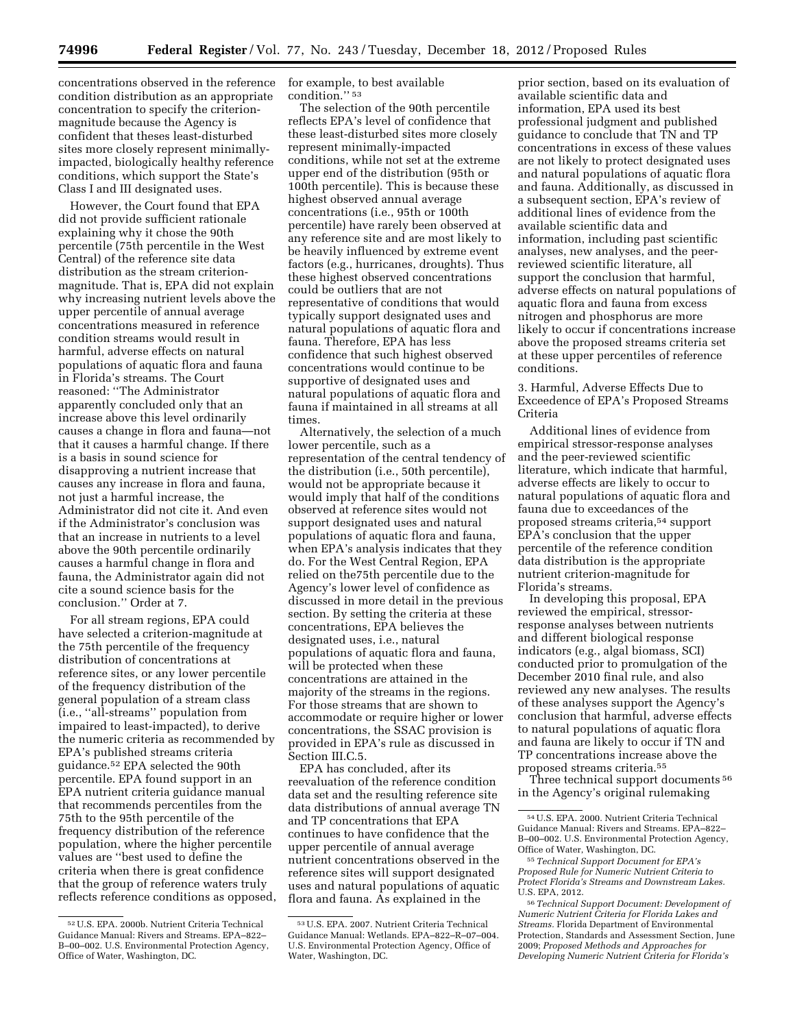concentrations observed in the reference condition distribution as an appropriate concentration to specify the criterionmagnitude because the Agency is confident that theses least-disturbed sites more closely represent minimallyimpacted, biologically healthy reference conditions, which support the State's Class I and III designated uses.

However, the Court found that EPA did not provide sufficient rationale explaining why it chose the 90th percentile (75th percentile in the West Central) of the reference site data distribution as the stream criterionmagnitude. That is, EPA did not explain why increasing nutrient levels above the upper percentile of annual average concentrations measured in reference condition streams would result in harmful, adverse effects on natural populations of aquatic flora and fauna in Florida's streams. The Court reasoned: ''The Administrator apparently concluded only that an increase above this level ordinarily causes a change in flora and fauna—not that it causes a harmful change. If there is a basis in sound science for disapproving a nutrient increase that causes any increase in flora and fauna, not just a harmful increase, the Administrator did not cite it. And even if the Administrator's conclusion was that an increase in nutrients to a level above the 90th percentile ordinarily causes a harmful change in flora and fauna, the Administrator again did not cite a sound science basis for the conclusion.'' Order at 7.

For all stream regions, EPA could have selected a criterion-magnitude at the 75th percentile of the frequency distribution of concentrations at reference sites, or any lower percentile of the frequency distribution of the general population of a stream class (i.e., ''all-streams'' population from impaired to least-impacted), to derive the numeric criteria as recommended by EPA's published streams criteria guidance.52 EPA selected the 90th percentile. EPA found support in an EPA nutrient criteria guidance manual that recommends percentiles from the 75th to the 95th percentile of the frequency distribution of the reference population, where the higher percentile values are ''best used to define the criteria when there is great confidence that the group of reference waters truly reflects reference conditions as opposed, for example, to best available condition.'' 53

The selection of the 90th percentile reflects EPA's level of confidence that these least-disturbed sites more closely represent minimally-impacted conditions, while not set at the extreme upper end of the distribution (95th or 100th percentile). This is because these highest observed annual average concentrations (i.e., 95th or 100th percentile) have rarely been observed at any reference site and are most likely to be heavily influenced by extreme event factors (e.g., hurricanes, droughts). Thus these highest observed concentrations could be outliers that are not representative of conditions that would typically support designated uses and natural populations of aquatic flora and fauna. Therefore, EPA has less confidence that such highest observed concentrations would continue to be supportive of designated uses and natural populations of aquatic flora and fauna if maintained in all streams at all times.

Alternatively, the selection of a much lower percentile, such as a representation of the central tendency of the distribution (i.e., 50th percentile), would not be appropriate because it would imply that half of the conditions observed at reference sites would not support designated uses and natural populations of aquatic flora and fauna, when EPA's analysis indicates that they do. For the West Central Region, EPA relied on the75th percentile due to the Agency's lower level of confidence as discussed in more detail in the previous section. By setting the criteria at these concentrations, EPA believes the designated uses, i.e., natural populations of aquatic flora and fauna, will be protected when these concentrations are attained in the majority of the streams in the regions. For those streams that are shown to accommodate or require higher or lower concentrations, the SSAC provision is provided in EPA's rule as discussed in Section III.C.5.

EPA has concluded, after its reevaluation of the reference condition data set and the resulting reference site data distributions of annual average TN and TP concentrations that EPA continues to have confidence that the upper percentile of annual average nutrient concentrations observed in the reference sites will support designated uses and natural populations of aquatic flora and fauna. As explained in the

prior section, based on its evaluation of available scientific data and information, EPA used its best professional judgment and published guidance to conclude that TN and TP concentrations in excess of these values are not likely to protect designated uses and natural populations of aquatic flora and fauna. Additionally, as discussed in a subsequent section, EPA's review of additional lines of evidence from the available scientific data and information, including past scientific analyses, new analyses, and the peerreviewed scientific literature, all support the conclusion that harmful, adverse effects on natural populations of aquatic flora and fauna from excess nitrogen and phosphorus are more likely to occur if concentrations increase above the proposed streams criteria set at these upper percentiles of reference conditions.

3. Harmful, Adverse Effects Due to Exceedence of EPA's Proposed Streams Criteria

Additional lines of evidence from empirical stressor-response analyses and the peer-reviewed scientific literature, which indicate that harmful, adverse effects are likely to occur to natural populations of aquatic flora and fauna due to exceedances of the proposed streams criteria,54 support EPA's conclusion that the upper percentile of the reference condition data distribution is the appropriate nutrient criterion-magnitude for Florida's streams.

In developing this proposal, EPA reviewed the empirical, stressorresponse analyses between nutrients and different biological response indicators (e.g., algal biomass, SCI) conducted prior to promulgation of the December 2010 final rule, and also reviewed any new analyses. The results of these analyses support the Agency's conclusion that harmful, adverse effects to natural populations of aquatic flora and fauna are likely to occur if TN and TP concentrations increase above the proposed streams criteria.55

Three technical support documents 56 in the Agency's original rulemaking

<sup>52</sup>U.S. EPA. 2000b. Nutrient Criteria Technical Guidance Manual: Rivers and Streams. EPA–822– B–00–002. U.S. Environmental Protection Agency, Office of Water, Washington, DC.

<sup>53</sup>U.S. EPA. 2007. Nutrient Criteria Technical Guidance Manual: Wetlands. EPA–822–R–07–004. U.S. Environmental Protection Agency, Office of Water, Washington, DC.

<sup>54</sup>U.S. EPA. 2000. Nutrient Criteria Technical Guidance Manual: Rivers and Streams. EPA–822– B–00–002. U.S. Environmental Protection Agency, Office of Water, Washington, DC.

<sup>55</sup>*Technical Support Document for EPA's Proposed Rule for Numeric Nutrient Criteria to Protect Florida's Streams and Downstream Lakes.*  U.S. EPA, 2012.

<sup>56</sup>*Technical Support Document: Development of Numeric Nutrient Criteria for Florida Lakes and Streams.* Florida Department of Environmental Protection, Standards and Assessment Section, June 2009; *Proposed Methods and Approaches for Developing Numeric Nutrient Criteria for Florida's*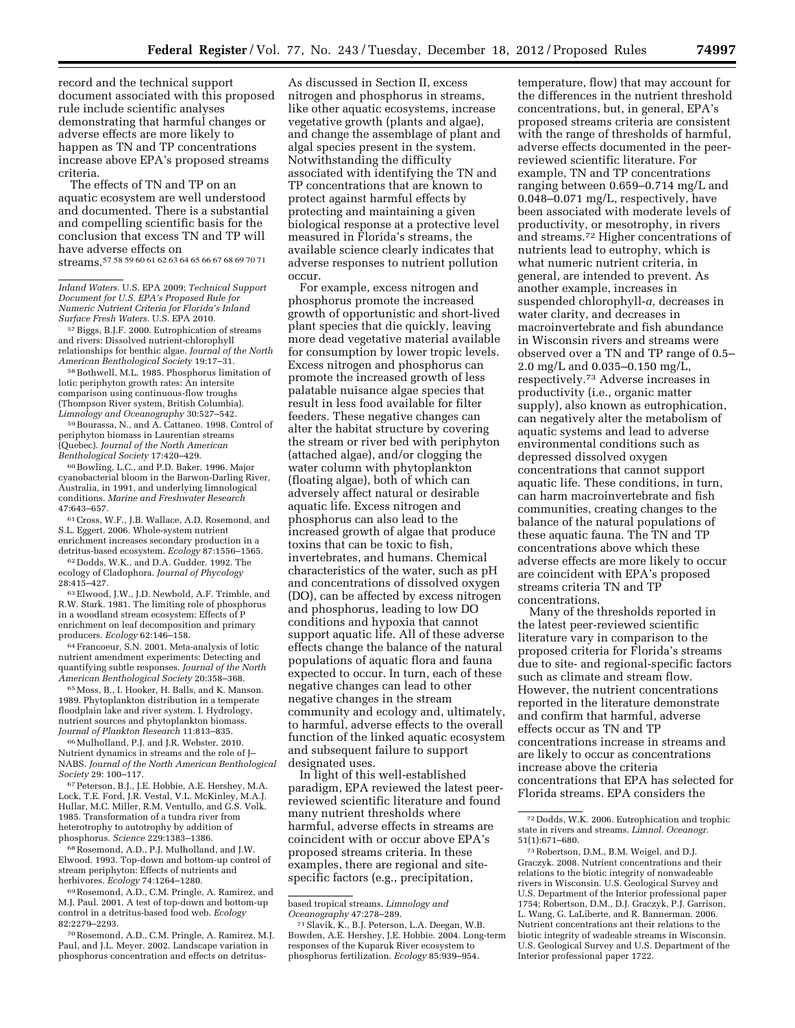record and the technical support document associated with this proposed rule include scientific analyses demonstrating that harmful changes or adverse effects are more likely to happen as TN and TP concentrations increase above EPA's proposed streams criteria.

The effects of TN and TP on an aquatic ecosystem are well understood and documented. There is a substantial and compelling scientific basis for the conclusion that excess TN and TP will have adverse effects on streams.57 58 59 60 61 62 63 64 65 66 67 68 69 70 71

*Inland Waters.* U.S. EPA 2009; *Technical Support* 

*Document for U.S. EPA's Proposed Rule for Numeric Nutrient Criteria for Florida's Inland Surface Fresh Waters.* U.S. EPA 2010.

57Biggs, B.J.F. 2000. Eutrophication of streams and rivers: Dissolved nutrient-chlorophyll relationships for benthic algae. *Journal of the North American Benthological Society* 19:17–31.

58Bothwell, M.L. 1985. Phosphorus limitation of lotic periphyton growth rates: An intersite comparison using continuous-flow troughs (Thompson River system, British Columbia). *Limnology and Oceanography* 30:527–542.

59Bourassa, N., and A. Cattaneo. 1998. Control of periphyton biomass in Laurentian streams (Quebec). *Journal of the North American Benthological Society* 17:420–429.

60Bowling, L.C., and P.D. Baker. 1996. Major cyanobacterial bloom in the Barwon-Darling River, Australia, in 1991, and underlying limnological conditions. *Marine and Freshwater Research*  47:643–657.

61Cross, W.F., J.B. Wallace, A.D. Rosemond, and S.L. Eggert. 2006. Whole-system nutrient enrichment increases secondary production in a detritus-based ecosystem. *Ecology* 87:1556–1565.

62 Dodds, W.K., and D.A. Gudder. 1992. The ecology of Cladophora. *Journal of Phycology*  28:415–427.

63Elwood, J.W., J.D. Newbold, A.F. Trimble, and R.W. Stark. 1981. The limiting role of phosphorus in a woodland stream ecosystem: Effects of P enrichment on leaf decomposition and primary producers. *Ecology* 62:146–158.

64Francoeur, S.N. 2001. Meta-analysis of lotic nutrient amendment experiments: Detecting and quantifying subtle responses. *Journal of the North American Benthological Society* 20:358–368.

65Moss, B., I. Hooker, H. Balls, and K. Manson. 1989. Phytoplankton distribution in a temperate floodplain lake and river system. I. Hydrology, nutrient sources and phytoplankton biomass. *Journal of Plankton Research* 11:813–835.

66Mulholland, P.J. and J.R. Webster. 2010. Nutrient dynamics in streams and the role of J– NABS. *Journal of the North American Benthological Society* 29: 100–117.

67Peterson, B.J., J.E. Hobbie, A.E. Hershey, M.A. Lock, T.E. Ford, J.R. Vestal, V.L. McKinley, M.A.J. Hullar, M.C. Miller, R.M. Ventullo, and G.S. Volk. 1985. Transformation of a tundra river from heterotrophy to autotrophy by addition of phosphorus. *Science* 229:1383–1386.

68Rosemond, A.D., P.J. Mulholland, and J.W. Elwood. 1993. Top-down and bottom-up control of stream periphyton: Effects of nutrients and herbivores. *Ecology* 74:1264–1280.

69Rosemond, A.D., C.M. Pringle, A. Ramirez, and M.J. Paul. 2001. A test of top-down and bottom-up control in a detritus-based food web. *Ecology*  82:2279–2293.

70Rosemond, A.D., C.M. Pringle, A. Ramirez, M.J. Paul, and J.L. Meyer. 2002. Landscape variation in phosphorus concentration and effects on detritus-

As discussed in Section II, excess nitrogen and phosphorus in streams, like other aquatic ecosystems, increase vegetative growth (plants and algae), and change the assemblage of plant and algal species present in the system. Notwithstanding the difficulty associated with identifying the TN and TP concentrations that are known to protect against harmful effects by protecting and maintaining a given biological response at a protective level measured in Florida's streams, the available science clearly indicates that adverse responses to nutrient pollution occur.

For example, excess nitrogen and phosphorus promote the increased growth of opportunistic and short-lived plant species that die quickly, leaving more dead vegetative material available for consumption by lower tropic levels. Excess nitrogen and phosphorus can promote the increased growth of less palatable nuisance algae species that result in less food available for filter feeders. These negative changes can alter the habitat structure by covering the stream or river bed with periphyton (attached algae), and/or clogging the water column with phytoplankton (floating algae), both of which can adversely affect natural or desirable aquatic life. Excess nitrogen and phosphorus can also lead to the increased growth of algae that produce toxins that can be toxic to fish, invertebrates, and humans. Chemical characteristics of the water, such as pH and concentrations of dissolved oxygen (DO), can be affected by excess nitrogen and phosphorus, leading to low DO conditions and hypoxia that cannot support aquatic life. All of these adverse effects change the balance of the natural populations of aquatic flora and fauna expected to occur. In turn, each of these negative changes can lead to other negative changes in the stream community and ecology and, ultimately, to harmful, adverse effects to the overall function of the linked aquatic ecosystem and subsequent failure to support designated uses.

In light of this well-established paradigm, EPA reviewed the latest peerreviewed scientific literature and found many nutrient thresholds where harmful, adverse effects in streams are coincident with or occur above EPA's proposed streams criteria. In these examples, there are regional and sitespecific factors (e.g., precipitation,

based tropical streams. *Limnology and* 

<sup>71</sup> Slavik, K., B.J. Peterson, L.A. Deegan, W.B. Bowden, A.E. Hershey, J.E. Hobbie. 2004. Long-term responses of the Kuparuk River ecosystem to phosphorus fertilization. *Ecology* 85:939–954.

temperature, flow) that may account for the differences in the nutrient threshold concentrations, but, in general, EPA's proposed streams criteria are consistent with the range of thresholds of harmful, adverse effects documented in the peerreviewed scientific literature. For example, TN and TP concentrations ranging between 0.659–0.714 mg/L and 0.048–0.071 mg/L, respectively, have been associated with moderate levels of productivity, or mesotrophy, in rivers and streams.72 Higher concentrations of nutrients lead to eutrophy, which is what numeric nutrient criteria, in general, are intended to prevent. As another example, increases in suspended chlorophyll-*a,* decreases in water clarity, and decreases in macroinvertebrate and fish abundance in Wisconsin rivers and streams were observed over a TN and TP range of 0.5– 2.0 mg/L and 0.035–0.150 mg/L, respectively.73 Adverse increases in productivity (i.e., organic matter supply), also known as eutrophication, can negatively alter the metabolism of aquatic systems and lead to adverse environmental conditions such as depressed dissolved oxygen concentrations that cannot support aquatic life. These conditions, in turn, can harm macroinvertebrate and fish communities, creating changes to the balance of the natural populations of these aquatic fauna. The TN and TP concentrations above which these adverse effects are more likely to occur are coincident with EPA's proposed streams criteria TN and TP concentrations.

Many of the thresholds reported in the latest peer-reviewed scientific literature vary in comparison to the proposed criteria for Florida's streams due to site- and regional-specific factors such as climate and stream flow. However, the nutrient concentrations reported in the literature demonstrate and confirm that harmful, adverse effects occur as TN and TP concentrations increase in streams and are likely to occur as concentrations increase above the criteria concentrations that EPA has selected for Florida streams. EPA considers the

<sup>72</sup> Dodds, W.K. 2006. Eutrophication and trophic state in rivers and streams. *Limnol. Oceanogr.*  51(1):671–680.

<sup>73</sup>Robertson, D.M., B.M. Weigel, and D.J. Graczyk. 2008. Nutrient concentrations and their relations to the biotic integrity of nonwadeable rivers in Wisconsin. U.S. Geological Survey and U.S. Department of the Interior professional paper 1754; Robertson, D.M., D.J. Graczyk, P.J. Garrison, L. Wang, G. LaLiberte, and R. Bannerman. 2006. Nutrient concentrations ant their relations to the biotic integrity of wadeable streams in Wisconsin. U.S. Geological Survey and U.S. Department of the Interior professional paper 1722.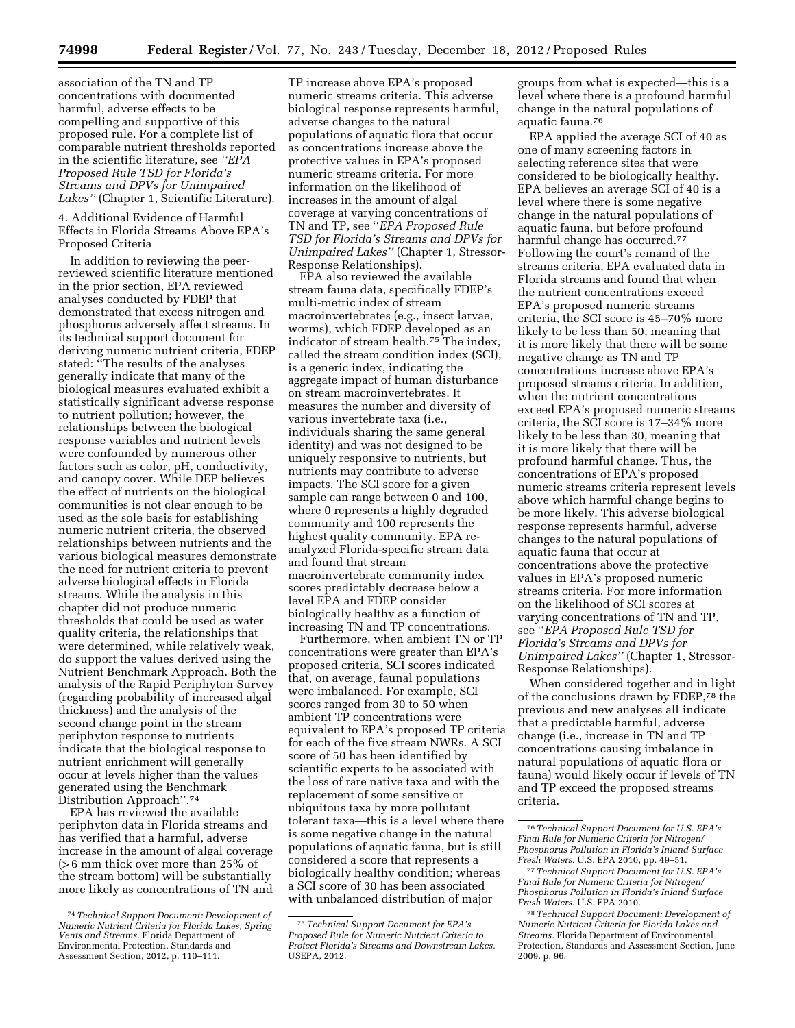association of the TN and TP concentrations with documented harmful, adverse effects to be compelling and supportive of this proposed rule. For a complete list of comparable nutrient thresholds reported in the scientific literature, see *''EPA Proposed Rule TSD for Florida's Streams and DPVs for Unimpaired Lakes''* (Chapter 1, Scientific Literature).

4. Additional Evidence of Harmful Effects in Florida Streams Above EPA's Proposed Criteria

In addition to reviewing the peerreviewed scientific literature mentioned in the prior section, EPA reviewed analyses conducted by FDEP that demonstrated that excess nitrogen and phosphorus adversely affect streams. In its technical support document for deriving numeric nutrient criteria, FDEP stated: ''The results of the analyses generally indicate that many of the biological measures evaluated exhibit a statistically significant adverse response to nutrient pollution; however, the relationships between the biological response variables and nutrient levels were confounded by numerous other factors such as color, pH, conductivity, and canopy cover. While DEP believes the effect of nutrients on the biological communities is not clear enough to be used as the sole basis for establishing numeric nutrient criteria, the observed relationships between nutrients and the various biological measures demonstrate the need for nutrient criteria to prevent adverse biological effects in Florida streams. While the analysis in this chapter did not produce numeric thresholds that could be used as water quality criteria, the relationships that were determined, while relatively weak, do support the values derived using the Nutrient Benchmark Approach. Both the analysis of the Rapid Periphyton Survey (regarding probability of increased algal thickness) and the analysis of the second change point in the stream periphyton response to nutrients indicate that the biological response to nutrient enrichment will generally occur at levels higher than the values generated using the Benchmark Distribution Approach''.74

EPA has reviewed the available periphyton data in Florida streams and has verified that a harmful, adverse increase in the amount of algal coverage (> 6 mm thick over more than 25% of the stream bottom) will be substantially more likely as concentrations of TN and

TP increase above EPA's proposed numeric streams criteria. This adverse biological response represents harmful, adverse changes to the natural populations of aquatic flora that occur as concentrations increase above the protective values in EPA's proposed numeric streams criteria. For more information on the likelihood of increases in the amount of algal coverage at varying concentrations of TN and TP, see ''*EPA Proposed Rule TSD for Florida's Streams and DPVs for Unimpaired Lakes''* (Chapter 1, Stressor-Response Relationships).

EPA also reviewed the available stream fauna data, specifically FDEP's multi-metric index of stream macroinvertebrates (e.g., insect larvae, worms), which FDEP developed as an indicator of stream health.75 The index, called the stream condition index (SCI), is a generic index, indicating the aggregate impact of human disturbance on stream macroinvertebrates. It measures the number and diversity of various invertebrate taxa (i.e., individuals sharing the same general identity) and was not designed to be uniquely responsive to nutrients, but nutrients may contribute to adverse impacts. The SCI score for a given sample can range between 0 and 100, where 0 represents a highly degraded community and 100 represents the highest quality community. EPA reanalyzed Florida-specific stream data and found that stream macroinvertebrate community index scores predictably decrease below a level EPA and FDEP consider biologically healthy as a function of increasing TN and TP concentrations.

Furthermore, when ambient TN or TP concentrations were greater than EPA's proposed criteria, SCI scores indicated that, on average, faunal populations were imbalanced. For example, SCI scores ranged from 30 to 50 when ambient TP concentrations were equivalent to EPA's proposed TP criteria for each of the five stream NWRs. A SCI score of 50 has been identified by scientific experts to be associated with the loss of rare native taxa and with the replacement of some sensitive or ubiquitous taxa by more pollutant tolerant taxa—this is a level where there is some negative change in the natural populations of aquatic fauna, but is still considered a score that represents a biologically healthy condition; whereas a SCI score of 30 has been associated with unbalanced distribution of major

groups from what is expected—this is a level where there is a profound harmful change in the natural populations of aquatic fauna.76

EPA applied the average SCI of 40 as one of many screening factors in selecting reference sites that were considered to be biologically healthy. EPA believes an average SCI of 40 is a level where there is some negative change in the natural populations of aquatic fauna, but before profound harmful change has occurred.77 Following the court's remand of the streams criteria, EPA evaluated data in Florida streams and found that when the nutrient concentrations exceed EPA's proposed numeric streams criteria, the SCI score is 45–70% more likely to be less than 50, meaning that it is more likely that there will be some negative change as TN and TP concentrations increase above EPA's proposed streams criteria. In addition, when the nutrient concentrations exceed EPA's proposed numeric streams criteria, the SCI score is 17–34% more likely to be less than 30, meaning that it is more likely that there will be profound harmful change. Thus, the concentrations of EPA's proposed numeric streams criteria represent levels above which harmful change begins to be more likely. This adverse biological response represents harmful, adverse changes to the natural populations of aquatic fauna that occur at concentrations above the protective values in EPA's proposed numeric streams criteria. For more information on the likelihood of SCI scores at varying concentrations of TN and TP, see ''*EPA Proposed Rule TSD for Florida's Streams and DPVs for Unimpaired Lakes''* (Chapter 1, Stressor-Response Relationships).

When considered together and in light of the conclusions drawn by FDEP,78 the previous and new analyses all indicate that a predictable harmful, adverse change (i.e., increase in TN and TP concentrations causing imbalance in natural populations of aquatic flora or fauna) would likely occur if levels of TN and TP exceed the proposed streams criteria.

<sup>74</sup>*Technical Support Document: Development of Numeric Nutrient Criteria for Florida Lakes, Spring Vents and Streams.* Florida Department of Environmental Protection, Standards and Assessment Section, 2012, p. 110–111.

<sup>75</sup>*Technical Support Document for EPA's Proposed Rule for Numeric Nutrient Criteria to Protect Florida's Streams and Downstream Lakes.*  USEPA, 2012.

<sup>76</sup>*Technical Support Document for U.S. EPA's Final Rule for Numeric Criteria for Nitrogen/ Phosphorus Pollution in Florida's Inland Surface Fresh Waters.* U.S. EPA 2010, pp. 49–51.

<sup>77</sup>*Technical Support Document for U.S. EPA's Final Rule for Numeric Criteria for Nitrogen/ Phosphorus Pollution in Florida's Inland Surface Fresh Waters.* U.S. EPA 2010.

<sup>78</sup>*Technical Support Document: Development of Numeric Nutrient Criteria for Florida Lakes and Streams.* Florida Department of Environmental Protection, Standards and Assessment Section, June 2009, p. 96.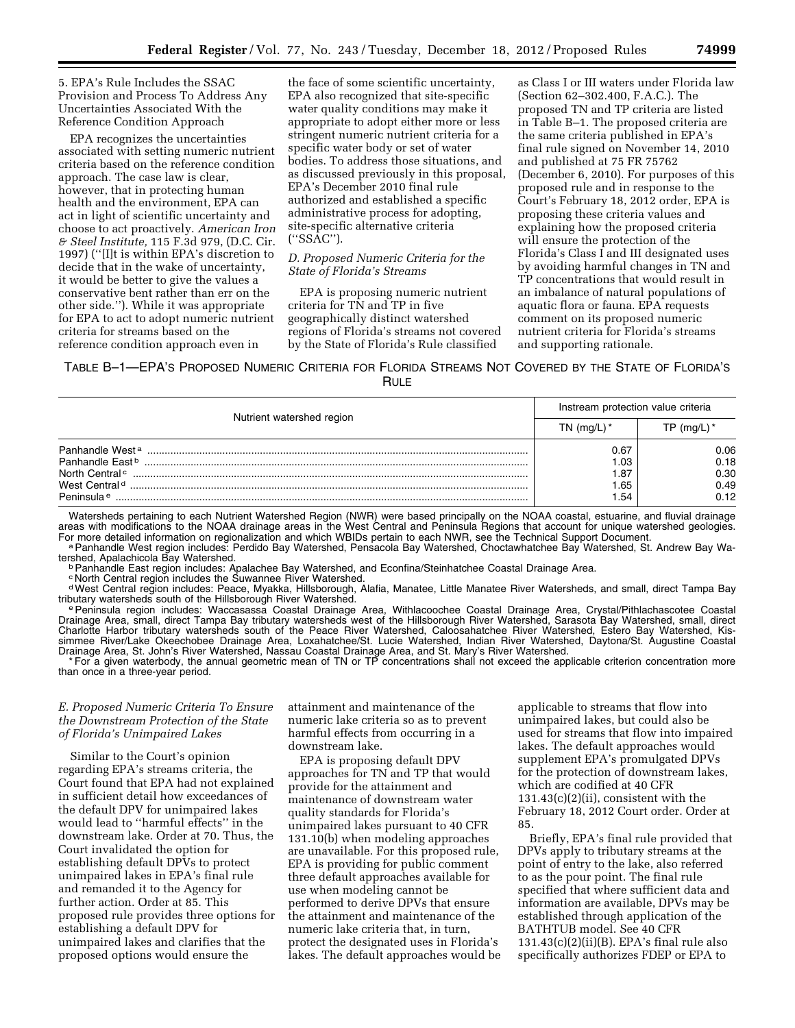5. EPA's Rule Includes the SSAC Provision and Process To Address Any Uncertainties Associated With the Reference Condition Approach

EPA recognizes the uncertainties associated with setting numeric nutrient criteria based on the reference condition approach. The case law is clear, however, that in protecting human health and the environment, EPA can act in light of scientific uncertainty and choose to act proactively. *American Iron & Steel Institute,* 115 F.3d 979, (D.C. Cir. 1997) (''[I]t is within EPA's discretion to decide that in the wake of uncertainty, it would be better to give the values a conservative bent rather than err on the other side.''). While it was appropriate for EPA to act to adopt numeric nutrient criteria for streams based on the reference condition approach even in

the face of some scientific uncertainty, EPA also recognized that site-specific water quality conditions may make it appropriate to adopt either more or less stringent numeric nutrient criteria for a specific water body or set of water bodies. To address those situations, and as discussed previously in this proposal, EPA's December 2010 final rule authorized and established a specific administrative process for adopting, site-specific alternative criteria (''SSAC'').

### *D. Proposed Numeric Criteria for the State of Florida's Streams*

EPA is proposing numeric nutrient criteria for TN and TP in five geographically distinct watershed regions of Florida's streams not covered by the State of Florida's Rule classified

as Class I or III waters under Florida law (Section 62–302.400, F.A.C.). The proposed TN and TP criteria are listed in Table B–1. The proposed criteria are the same criteria published in EPA's final rule signed on November 14, 2010 and published at 75 FR 75762 (December 6, 2010). For purposes of this proposed rule and in response to the Court's February 18, 2012 order, EPA is proposing these criteria values and explaining how the proposed criteria will ensure the protection of the Florida's Class I and III designated uses by avoiding harmful changes in TN and TP concentrations that would result in an imbalance of natural populations of aquatic flora or fauna. EPA requests comment on its proposed numeric nutrient criteria for Florida's streams and supporting rationale.

TABLE B–1—EPA'S PROPOSED NUMERIC CRITERIA FOR FLORIDA STREAMS NOT COVERED BY THE STATE OF FLORIDA'S RULE

|                                                                                                                       | Instream protection value criteria |                              |
|-----------------------------------------------------------------------------------------------------------------------|------------------------------------|------------------------------|
| Nutrient watershed region                                                                                             | TN (mg/L) $*$                      | TP (mg/L) $^*$               |
| Panhandle West <sup>a</sup><br>Panhandle Fast <sup>b</sup><br>North Central <sup>c</sup><br>West Central <sup>d</sup> | 0.67<br>I.O3<br>1.87<br>.65        | 0.06<br>0.18<br>0.30<br>0.49 |
| Peninsula <sup>e</sup>                                                                                                | .54                                | 0.12                         |

Watersheds pertaining to each Nutrient Watershed Region (NWR) were based principally on the NOAA coastal, estuarine, and fluvial drainage areas with modifications to the NOAA drainage areas in the West Central and Peninsula Regions that account for unique watershed geologies.<br>For more detailed information on regionalization and which WBIDs pertain to each NW

a Panhandle West region includes: Perdido Bay Watershed, Pensacola Bay Watershed, Choctawhatchee Bay Watershed, St. Andrew Bay Wa-<br>tershed, Apalachicola Bay Watershed.

<sup>b</sup> Panhandle East region includes: Apalachee Bay Watershed, and Econfina/Steinhatchee Coastal Drainage Area.

c North Central region includes the Suwannee River Watershed.

dWest Central region includes: Peace, Myakka, Hillsborough, Alafia, Manatee, Little Manatee River Watersheds, and small, direct Tampa Bay

e Peninsula region includes: Waccasassa Coastal Drainage Area, Withlacoochee Coastal Drainage Area, Crystal/Pithlachascotee Coastal Drainage Area, small, direct Tampa Bay tributary watersheds west of the Hillsborough River Watershed, Sarasota Bay Watershed, small, direct Charlotte Harbor tributary watersheds south of the Peace River Watershed, Caloosahatchee River Watershed, Estero Bay Watershed, Kissimmee River/Lake Okeechobee Drainage Area, Loxahatchee/St. Lucie Watershed, Indian River Watershed, Daytona/St. Augustine Coastal Drainage Area, St. John's River Watershed, Nassau Coastal Drainage Area, and St. Mary's River Watershed.

\* For a given waterbody, the annual geometric mean of TN or TP concentrations shall not exceed the applicable criterion concentration more than once in a three-year period.

### *E. Proposed Numeric Criteria To Ensure the Downstream Protection of the State of Florida's Unimpaired Lakes*

Similar to the Court's opinion regarding EPA's streams criteria, the Court found that EPA had not explained in sufficient detail how exceedances of the default DPV for unimpaired lakes would lead to ''harmful effects'' in the downstream lake. Order at 70. Thus, the Court invalidated the option for establishing default DPVs to protect unimpaired lakes in EPA's final rule and remanded it to the Agency for further action. Order at 85. This proposed rule provides three options for establishing a default DPV for unimpaired lakes and clarifies that the proposed options would ensure the

attainment and maintenance of the numeric lake criteria so as to prevent harmful effects from occurring in a downstream lake.

EPA is proposing default DPV approaches for TN and TP that would provide for the attainment and maintenance of downstream water quality standards for Florida's unimpaired lakes pursuant to 40 CFR 131.10(b) when modeling approaches are unavailable. For this proposed rule, EPA is providing for public comment three default approaches available for use when modeling cannot be performed to derive DPVs that ensure the attainment and maintenance of the numeric lake criteria that, in turn, protect the designated uses in Florida's lakes. The default approaches would be applicable to streams that flow into unimpaired lakes, but could also be used for streams that flow into impaired lakes. The default approaches would supplement EPA's promulgated DPVs for the protection of downstream lakes, which are codified at 40 CFR  $131.43(c)(2)(ii)$ , consistent with the February 18, 2012 Court order. Order at 85.

Briefly, EPA's final rule provided that DPVs apply to tributary streams at the point of entry to the lake, also referred to as the pour point. The final rule specified that where sufficient data and information are available, DPVs may be established through application of the BATHTUB model. See 40 CFR  $131.43(c)(2)(ii)(B)$ . EPA's final rule also specifically authorizes FDEP or EPA to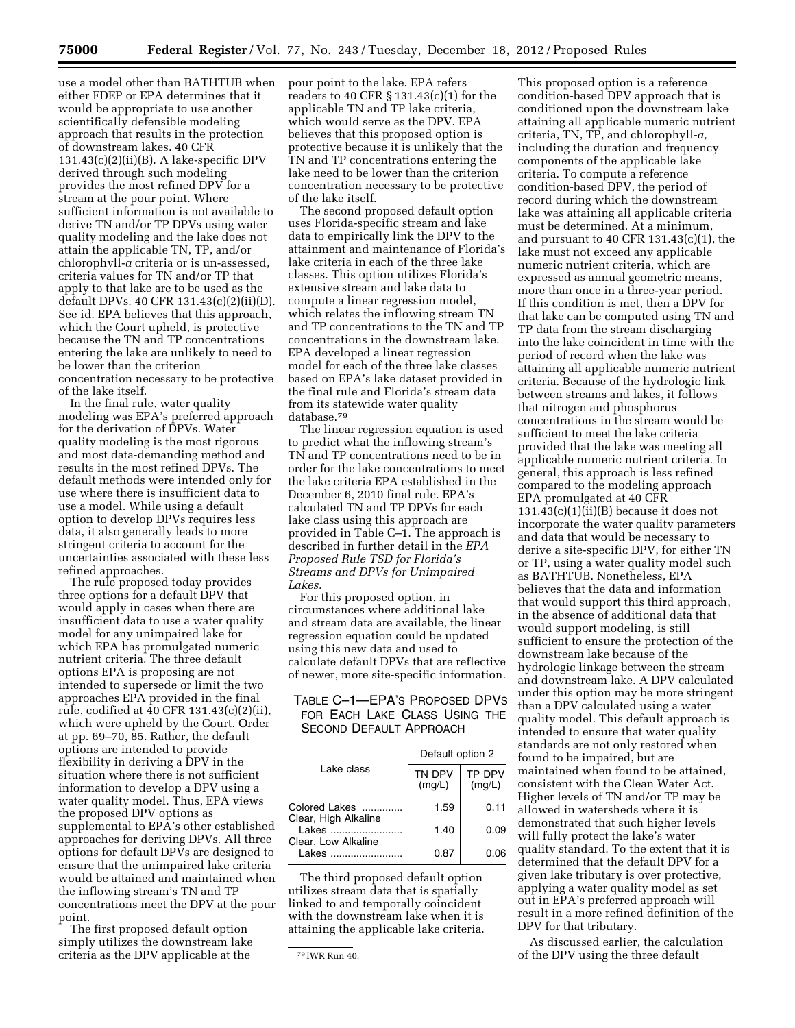use a model other than BATHTUB when either FDEP or EPA determines that it would be appropriate to use another scientifically defensible modeling approach that results in the protection of downstream lakes. 40 CFR  $131.43(c)(2)(ii)(B)$ . A lake-specific DPV derived through such modeling provides the most refined DPV for a stream at the pour point. Where sufficient information is not available to derive TN and/or TP DPVs using water quality modeling and the lake does not attain the applicable TN, TP, and/or chlorophyll-*a* criteria or is un-assessed, criteria values for TN and/or TP that apply to that lake are to be used as the default DPVs. 40 CFR 131.43(c)(2)(ii)(D). See id. EPA believes that this approach, which the Court upheld, is protective because the TN and TP concentrations entering the lake are unlikely to need to be lower than the criterion concentration necessary to be protective of the lake itself.

In the final rule, water quality modeling was EPA's preferred approach for the derivation of DPVs. Water quality modeling is the most rigorous and most data-demanding method and results in the most refined DPVs. The default methods were intended only for use where there is insufficient data to use a model. While using a default option to develop DPVs requires less data, it also generally leads to more stringent criteria to account for the uncertainties associated with these less refined approaches.

The rule proposed today provides three options for a default DPV that would apply in cases when there are insufficient data to use a water quality model for any unimpaired lake for which EPA has promulgated numeric nutrient criteria. The three default options EPA is proposing are not intended to supersede or limit the two approaches EPA provided in the final rule, codified at 40 CFR 131.43(c)(2)(ii), which were upheld by the Court. Order at pp. 69–70, 85. Rather, the default options are intended to provide flexibility in deriving a DPV in the situation where there is not sufficient information to develop a DPV using a water quality model. Thus, EPA views the proposed DPV options as supplemental to EPA's other established approaches for deriving DPVs. All three options for default DPVs are designed to ensure that the unimpaired lake criteria would be attained and maintained when the inflowing stream's TN and TP concentrations meet the DPV at the pour point.

The first proposed default option simply utilizes the downstream lake criteria as the DPV applicable at the

pour point to the lake. EPA refers readers to 40 CFR § 131.43(c)(1) for the applicable TN and TP lake criteria, which would serve as the DPV. EPA believes that this proposed option is protective because it is unlikely that the TN and TP concentrations entering the lake need to be lower than the criterion concentration necessary to be protective of the lake itself.

The second proposed default option uses Florida-specific stream and lake data to empirically link the DPV to the attainment and maintenance of Florida's lake criteria in each of the three lake classes. This option utilizes Florida's extensive stream and lake data to compute a linear regression model, which relates the inflowing stream TN and TP concentrations to the TN and TP concentrations in the downstream lake. EPA developed a linear regression model for each of the three lake classes based on EPA's lake dataset provided in the final rule and Florida's stream data from its statewide water quality database.79

The linear regression equation is used to predict what the inflowing stream's TN and TP concentrations need to be in order for the lake concentrations to meet the lake criteria EPA established in the December 6, 2010 final rule. EPA's calculated TN and TP DPVs for each lake class using this approach are provided in Table C–1. The approach is described in further detail in the *EPA Proposed Rule TSD for Florida's Streams and DPVs for Unimpaired Lakes.* 

For this proposed option, in circumstances where additional lake and stream data are available, the linear regression equation could be updated using this new data and used to calculate default DPVs that are reflective of newer, more site-specific information.

## TABLE C–1—EPA'S PROPOSED DPVS FOR EACH LAKE CLASS USING THE SECOND DEFAULT APPROACH

|                                                                                                                                       | Default option 2 |                  |  |
|---------------------------------------------------------------------------------------------------------------------------------------|------------------|------------------|--|
| Lake class                                                                                                                            | TN DPV<br>(mq/L) | TP DPV<br>(mq/L) |  |
| Colored Lakes<br>Clear, High Alkaline                                                                                                 | 1.59             | 0.11             |  |
| l akes                                                                                                                                | 1.40             | 0.09             |  |
| Clear, Low Alkaline<br>lakes in the season of the season of the season of the season of the season of the season of the season of the | 0.87             | በ በፍ             |  |

The third proposed default option utilizes stream data that is spatially linked to and temporally coincident with the downstream lake when it is attaining the applicable lake criteria.

This proposed option is a reference condition-based DPV approach that is conditioned upon the downstream lake attaining all applicable numeric nutrient criteria, TN, TP, and chlorophyll-*a,*  including the duration and frequency components of the applicable lake criteria. To compute a reference condition-based DPV, the period of record during which the downstream lake was attaining all applicable criteria must be determined. At a minimum, and pursuant to 40 CFR 131.43(c)(1), the lake must not exceed any applicable numeric nutrient criteria, which are expressed as annual geometric means, more than once in a three-year period. If this condition is met, then a DPV for that lake can be computed using TN and TP data from the stream discharging into the lake coincident in time with the period of record when the lake was attaining all applicable numeric nutrient criteria. Because of the hydrologic link between streams and lakes, it follows that nitrogen and phosphorus concentrations in the stream would be sufficient to meet the lake criteria provided that the lake was meeting all applicable numeric nutrient criteria. In general, this approach is less refined compared to the modeling approach EPA promulgated at 40 CFR  $131.43(c)(1)(ii)(B)$  because it does not incorporate the water quality parameters and data that would be necessary to derive a site-specific DPV, for either TN or TP, using a water quality model such as BATHTUB. Nonetheless, EPA believes that the data and information that would support this third approach, in the absence of additional data that would support modeling, is still sufficient to ensure the protection of the downstream lake because of the hydrologic linkage between the stream and downstream lake. A DPV calculated under this option may be more stringent than a DPV calculated using a water quality model. This default approach is intended to ensure that water quality standards are not only restored when found to be impaired, but are maintained when found to be attained, consistent with the Clean Water Act. Higher levels of TN and/or TP may be allowed in watersheds where it is demonstrated that such higher levels will fully protect the lake's water quality standard. To the extent that it is determined that the default DPV for a given lake tributary is over protective, applying a water quality model as set out in EPA's preferred approach will result in a more refined definition of the DPV for that tributary.

As discussed earlier, the calculation of the DPV using the three default

<sup>79</sup> IWR Run 40.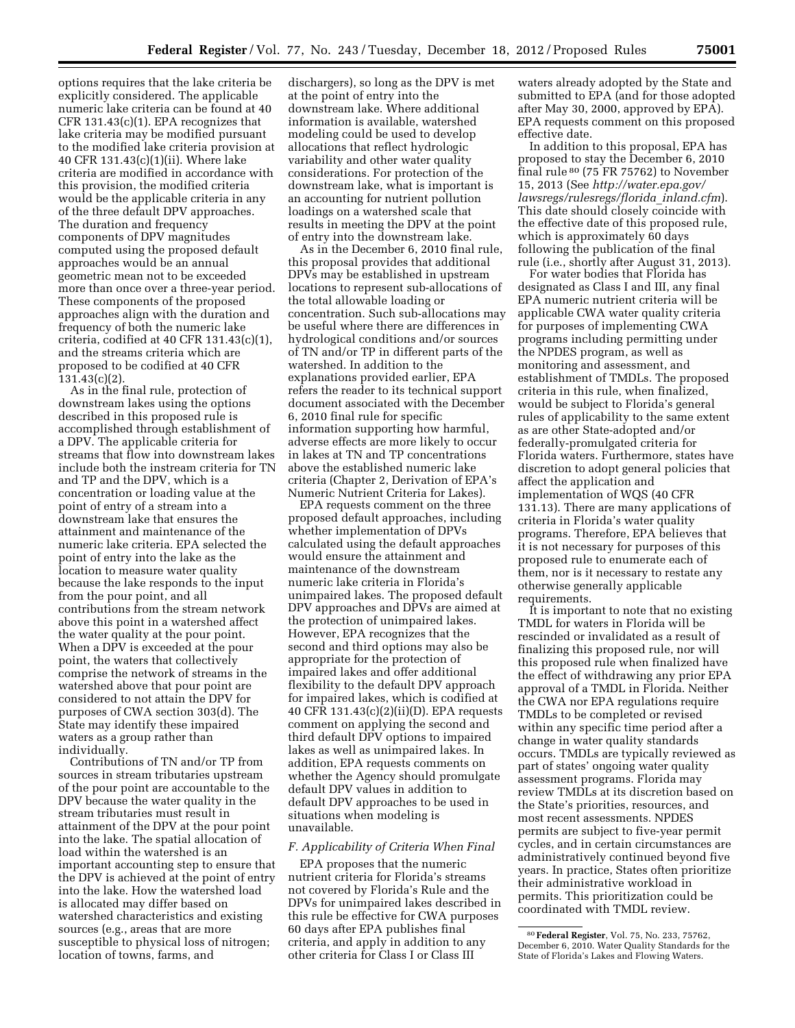options requires that the lake criteria be explicitly considered. The applicable numeric lake criteria can be found at 40 CFR 131.43(c)(1). EPA recognizes that lake criteria may be modified pursuant to the modified lake criteria provision at 40 CFR 131.43(c)(1)(ii). Where lake criteria are modified in accordance with this provision, the modified criteria would be the applicable criteria in any of the three default DPV approaches. The duration and frequency components of DPV magnitudes computed using the proposed default approaches would be an annual geometric mean not to be exceeded more than once over a three-year period. These components of the proposed approaches align with the duration and frequency of both the numeric lake criteria, codified at 40 CFR 131.43(c)(1), and the streams criteria which are proposed to be codified at 40 CFR 131.43(c)(2).

As in the final rule, protection of downstream lakes using the options described in this proposed rule is accomplished through establishment of a DPV. The applicable criteria for streams that flow into downstream lakes include both the instream criteria for TN and TP and the DPV, which is a concentration or loading value at the point of entry of a stream into a downstream lake that ensures the attainment and maintenance of the numeric lake criteria. EPA selected the point of entry into the lake as the location to measure water quality because the lake responds to the input from the pour point, and all contributions from the stream network above this point in a watershed affect the water quality at the pour point. When a DPV is exceeded at the pour point, the waters that collectively comprise the network of streams in the watershed above that pour point are considered to not attain the DPV for purposes of CWA section 303(d). The State may identify these impaired waters as a group rather than individually.

Contributions of TN and/or TP from sources in stream tributaries upstream of the pour point are accountable to the DPV because the water quality in the stream tributaries must result in attainment of the DPV at the pour point into the lake. The spatial allocation of load within the watershed is an important accounting step to ensure that the DPV is achieved at the point of entry into the lake. How the watershed load is allocated may differ based on watershed characteristics and existing sources (e.g., areas that are more susceptible to physical loss of nitrogen; location of towns, farms, and

dischargers), so long as the DPV is met at the point of entry into the downstream lake. Where additional information is available, watershed modeling could be used to develop allocations that reflect hydrologic variability and other water quality considerations. For protection of the downstream lake, what is important is an accounting for nutrient pollution loadings on a watershed scale that results in meeting the DPV at the point of entry into the downstream lake.

As in the December 6, 2010 final rule, this proposal provides that additional DPVs may be established in upstream locations to represent sub-allocations of the total allowable loading or concentration. Such sub-allocations may be useful where there are differences in hydrological conditions and/or sources of TN and/or TP in different parts of the watershed. In addition to the explanations provided earlier, EPA refers the reader to its technical support document associated with the December 6, 2010 final rule for specific information supporting how harmful, adverse effects are more likely to occur in lakes at TN and TP concentrations above the established numeric lake criteria (Chapter 2, Derivation of EPA's Numeric Nutrient Criteria for Lakes).

EPA requests comment on the three proposed default approaches, including whether implementation of DPVs calculated using the default approaches would ensure the attainment and maintenance of the downstream numeric lake criteria in Florida's unimpaired lakes. The proposed default DPV approaches and DPVs are aimed at the protection of unimpaired lakes. However, EPA recognizes that the second and third options may also be appropriate for the protection of impaired lakes and offer additional flexibility to the default DPV approach for impaired lakes, which is codified at 40 CFR 131.43(c)(2)(ii)(D). EPA requests comment on applying the second and third default DPV options to impaired lakes as well as unimpaired lakes. In addition, EPA requests comments on whether the Agency should promulgate default DPV values in addition to default DPV approaches to be used in situations when modeling is unavailable.

#### *F. Applicability of Criteria When Final*

EPA proposes that the numeric nutrient criteria for Florida's streams not covered by Florida's Rule and the DPVs for unimpaired lakes described in this rule be effective for CWA purposes 60 days after EPA publishes final criteria, and apply in addition to any other criteria for Class I or Class III

waters already adopted by the State and submitted to EPA (and for those adopted after May 30, 2000, approved by EPA). EPA requests comment on this proposed effective date.

In addition to this proposal, EPA has proposed to stay the December 6, 2010 final rule 80 (75 FR 75762) to November 15, 2013 (See *[http://water.epa.gov/](http://water.epa.gov/lawsregs/rulesregs/florida_inland.cfm) [lawsregs/rulesregs/florida](http://water.epa.gov/lawsregs/rulesregs/florida_inland.cfm)*\_*inland.cfm*). This date should closely coincide with the effective date of this proposed rule, which is approximately 60 days following the publication of the final rule (i.e., shortly after August 31, 2013).

For water bodies that Florida has designated as Class I and III, any final EPA numeric nutrient criteria will be applicable CWA water quality criteria for purposes of implementing CWA programs including permitting under the NPDES program, as well as monitoring and assessment, and establishment of TMDLs. The proposed criteria in this rule, when finalized, would be subject to Florida's general rules of applicability to the same extent as are other State-adopted and/or federally-promulgated criteria for Florida waters. Furthermore, states have discretion to adopt general policies that affect the application and implementation of WQS (40 CFR 131.13). There are many applications of criteria in Florida's water quality programs. Therefore, EPA believes that it is not necessary for purposes of this proposed rule to enumerate each of them, nor is it necessary to restate any otherwise generally applicable requirements.

It is important to note that no existing TMDL for waters in Florida will be rescinded or invalidated as a result of finalizing this proposed rule, nor will this proposed rule when finalized have the effect of withdrawing any prior EPA approval of a TMDL in Florida. Neither the CWA nor EPA regulations require TMDLs to be completed or revised within any specific time period after a change in water quality standards occurs. TMDLs are typically reviewed as part of states' ongoing water quality assessment programs. Florida may review TMDLs at its discretion based on the State's priorities, resources, and most recent assessments. NPDES permits are subject to five-year permit cycles, and in certain circumstances are administratively continued beyond five years. In practice, States often prioritize their administrative workload in permits. This prioritization could be coordinated with TMDL review.

<sup>80</sup>**Federal Register**, Vol. 75, No. 233, 75762, December 6, 2010. Water Quality Standards for the State of Florida's Lakes and Flowing Waters.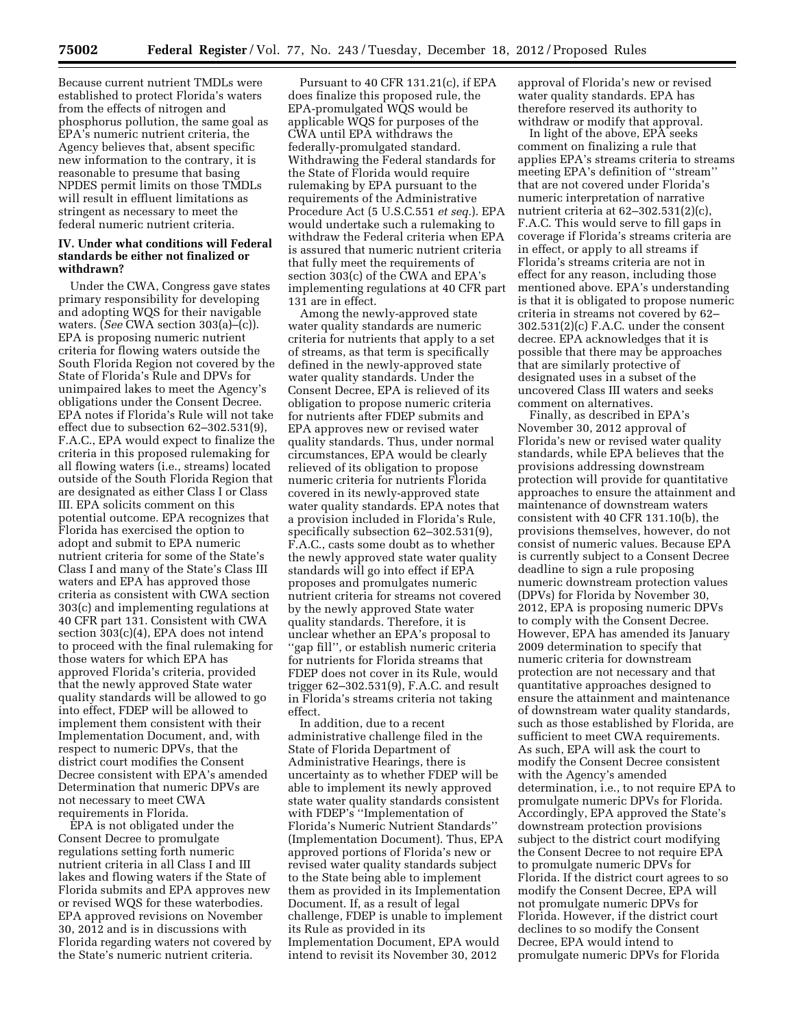Because current nutrient TMDLs were established to protect Florida's waters from the effects of nitrogen and phosphorus pollution, the same goal as EPA's numeric nutrient criteria, the Agency believes that, absent specific new information to the contrary, it is reasonable to presume that basing NPDES permit limits on those TMDLs will result in effluent limitations as stringent as necessary to meet the federal numeric nutrient criteria.

### **IV. Under what conditions will Federal standards be either not finalized or withdrawn?**

Under the CWA, Congress gave states primary responsibility for developing and adopting WQS for their navigable waters. (*See* CWA section 303(a)–(c)). EPA is proposing numeric nutrient criteria for flowing waters outside the South Florida Region not covered by the State of Florida's Rule and DPVs for unimpaired lakes to meet the Agency's obligations under the Consent Decree. EPA notes if Florida's Rule will not take effect due to subsection 62–302.531(9), F.A.C., EPA would expect to finalize the criteria in this proposed rulemaking for all flowing waters (i.e., streams) located outside of the South Florida Region that are designated as either Class I or Class III. EPA solicits comment on this potential outcome. EPA recognizes that Florida has exercised the option to adopt and submit to EPA numeric nutrient criteria for some of the State's Class I and many of the State's Class III waters and EPA has approved those criteria as consistent with CWA section 303(c) and implementing regulations at 40 CFR part 131. Consistent with CWA section 303(c)(4), EPA does not intend to proceed with the final rulemaking for those waters for which EPA has approved Florida's criteria, provided that the newly approved State water quality standards will be allowed to go into effect, FDEP will be allowed to implement them consistent with their Implementation Document, and, with respect to numeric DPVs, that the district court modifies the Consent Decree consistent with EPA's amended Determination that numeric DPVs are not necessary to meet CWA requirements in Florida.

EPA is not obligated under the Consent Decree to promulgate regulations setting forth numeric nutrient criteria in all Class I and III lakes and flowing waters if the State of Florida submits and EPA approves new or revised WQS for these waterbodies. EPA approved revisions on November 30, 2012 and is in discussions with Florida regarding waters not covered by the State's numeric nutrient criteria.

Pursuant to 40 CFR 131.21(c), if EPA does finalize this proposed rule, the EPA-promulgated WQS would be applicable WQS for purposes of the CWA until EPA withdraws the federally-promulgated standard. Withdrawing the Federal standards for the State of Florida would require rulemaking by EPA pursuant to the requirements of the Administrative Procedure Act (5 U.S.C.551 *et seq.*). EPA would undertake such a rulemaking to withdraw the Federal criteria when EPA is assured that numeric nutrient criteria that fully meet the requirements of section 303(c) of the CWA and EPA's implementing regulations at 40 CFR part 131 are in effect.

Among the newly-approved state water quality standards are numeric criteria for nutrients that apply to a set of streams, as that term is specifically defined in the newly-approved state water quality standards. Under the Consent Decree, EPA is relieved of its obligation to propose numeric criteria for nutrients after FDEP submits and EPA approves new or revised water quality standards. Thus, under normal circumstances, EPA would be clearly relieved of its obligation to propose numeric criteria for nutrients Florida covered in its newly-approved state water quality standards. EPA notes that a provision included in Florida's Rule, specifically subsection 62–302.531(9), F.A.C., casts some doubt as to whether the newly approved state water quality standards will go into effect if EPA proposes and promulgates numeric nutrient criteria for streams not covered by the newly approved State water quality standards. Therefore, it is unclear whether an EPA's proposal to ''gap fill'', or establish numeric criteria for nutrients for Florida streams that FDEP does not cover in its Rule, would trigger 62–302.531(9), F.A.C. and result in Florida's streams criteria not taking effect.

In addition, due to a recent administrative challenge filed in the State of Florida Department of Administrative Hearings, there is uncertainty as to whether FDEP will be able to implement its newly approved state water quality standards consistent with FDEP's ''Implementation of Florida's Numeric Nutrient Standards'' (Implementation Document). Thus, EPA approved portions of Florida's new or revised water quality standards subject to the State being able to implement them as provided in its Implementation Document. If, as a result of legal challenge, FDEP is unable to implement its Rule as provided in its Implementation Document, EPA would intend to revisit its November 30, 2012

approval of Florida's new or revised water quality standards. EPA has therefore reserved its authority to withdraw or modify that approval.

In light of the above, EPA seeks comment on finalizing a rule that applies EPA's streams criteria to streams meeting EPA's definition of ''stream'' that are not covered under Florida's numeric interpretation of narrative nutrient criteria at 62–302.531(2)(c), F.A.C. This would serve to fill gaps in coverage if Florida's streams criteria are in effect, or apply to all streams if Florida's streams criteria are not in effect for any reason, including those mentioned above. EPA's understanding is that it is obligated to propose numeric criteria in streams not covered by 62– 302.531(2)(c) F.A.C. under the consent decree. EPA acknowledges that it is possible that there may be approaches that are similarly protective of designated uses in a subset of the uncovered Class III waters and seeks comment on alternatives.

Finally, as described in EPA's November 30, 2012 approval of Florida's new or revised water quality standards, while EPA believes that the provisions addressing downstream protection will provide for quantitative approaches to ensure the attainment and maintenance of downstream waters consistent with 40 CFR 131.10(b), the provisions themselves, however, do not consist of numeric values. Because EPA is currently subject to a Consent Decree deadline to sign a rule proposing numeric downstream protection values (DPVs) for Florida by November 30, 2012, EPA is proposing numeric DPVs to comply with the Consent Decree. However, EPA has amended its January 2009 determination to specify that numeric criteria for downstream protection are not necessary and that quantitative approaches designed to ensure the attainment and maintenance of downstream water quality standards, such as those established by Florida, are sufficient to meet CWA requirements. As such, EPA will ask the court to modify the Consent Decree consistent with the Agency's amended determination, i.e., to not require EPA to promulgate numeric DPVs for Florida. Accordingly, EPA approved the State's downstream protection provisions subject to the district court modifying the Consent Decree to not require EPA to promulgate numeric DPVs for Florida. If the district court agrees to so modify the Consent Decree, EPA will not promulgate numeric DPVs for Florida. However, if the district court declines to so modify the Consent Decree, EPA would intend to promulgate numeric DPVs for Florida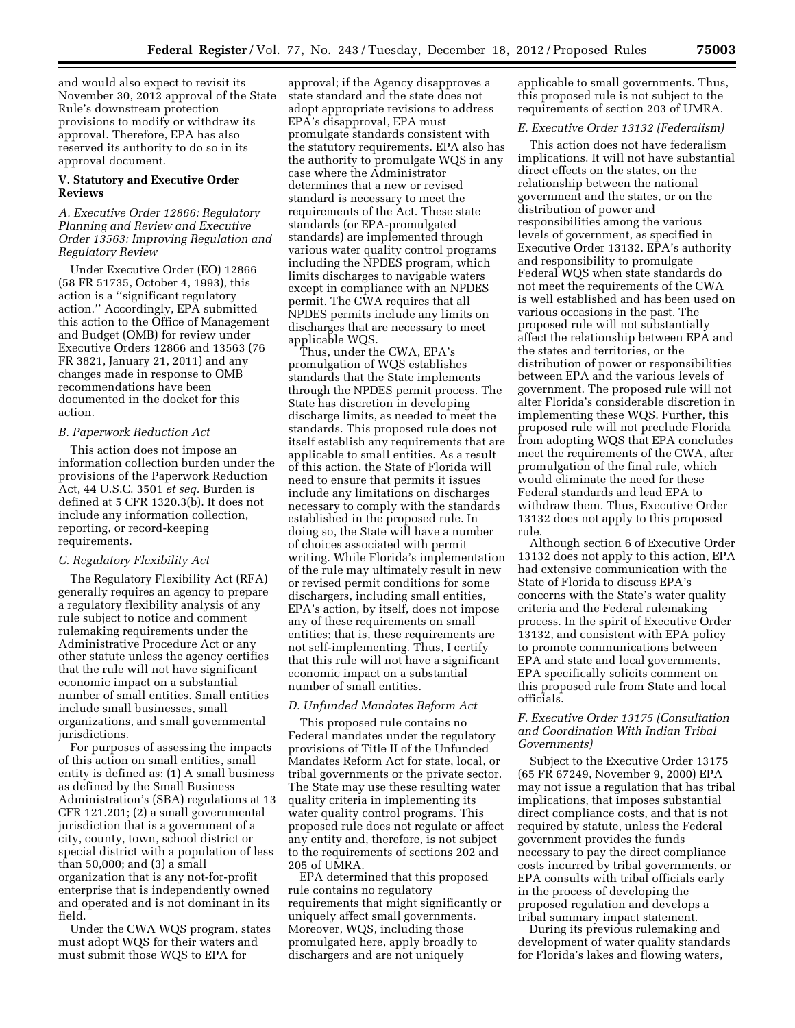and would also expect to revisit its November 30, 2012 approval of the State Rule's downstream protection provisions to modify or withdraw its approval. Therefore, EPA has also reserved its authority to do so in its approval document.

#### **V. Statutory and Executive Order Reviews**

### *A. Executive Order 12866: Regulatory Planning and Review and Executive Order 13563: Improving Regulation and Regulatory Review*

Under Executive Order (EO) 12866 (58 FR 51735, October 4, 1993), this action is a ''significant regulatory action.'' Accordingly, EPA submitted this action to the Office of Management and Budget (OMB) for review under Executive Orders 12866 and 13563 (76 FR 3821, January 21, 2011) and any changes made in response to OMB recommendations have been documented in the docket for this action.

### *B. Paperwork Reduction Act*

This action does not impose an information collection burden under the provisions of the Paperwork Reduction Act, 44 U.S.C. 3501 *et seq.* Burden is defined at 5 CFR 1320.3(b). It does not include any information collection, reporting, or record-keeping requirements.

#### *C. Regulatory Flexibility Act*

The Regulatory Flexibility Act (RFA) generally requires an agency to prepare a regulatory flexibility analysis of any rule subject to notice and comment rulemaking requirements under the Administrative Procedure Act or any other statute unless the agency certifies that the rule will not have significant economic impact on a substantial number of small entities. Small entities include small businesses, small organizations, and small governmental jurisdictions.

For purposes of assessing the impacts of this action on small entities, small entity is defined as: (1) A small business as defined by the Small Business Administration's (SBA) regulations at 13 CFR 121.201; (2) a small governmental jurisdiction that is a government of a city, county, town, school district or special district with a population of less than 50,000; and (3) a small organization that is any not-for-profit enterprise that is independently owned and operated and is not dominant in its field.

Under the CWA WQS program, states must adopt WQS for their waters and must submit those WQS to EPA for

approval; if the Agency disapproves a state standard and the state does not adopt appropriate revisions to address EPA's disapproval, EPA must promulgate standards consistent with the statutory requirements. EPA also has the authority to promulgate WQS in any case where the Administrator determines that a new or revised standard is necessary to meet the requirements of the Act. These state standards (or EPA-promulgated standards) are implemented through various water quality control programs including the NPDES program, which limits discharges to navigable waters except in compliance with an NPDES permit. The CWA requires that all NPDES permits include any limits on discharges that are necessary to meet applicable WQS.

Thus, under the CWA, EPA's promulgation of WQS establishes standards that the State implements through the NPDES permit process. The State has discretion in developing discharge limits, as needed to meet the standards. This proposed rule does not itself establish any requirements that are applicable to small entities. As a result of this action, the State of Florida will need to ensure that permits it issues include any limitations on discharges necessary to comply with the standards established in the proposed rule. In doing so, the State will have a number of choices associated with permit writing. While Florida's implementation of the rule may ultimately result in new or revised permit conditions for some dischargers, including small entities, EPA's action, by itself, does not impose any of these requirements on small entities; that is, these requirements are not self-implementing. Thus, I certify that this rule will not have a significant economic impact on a substantial number of small entities.

### *D. Unfunded Mandates Reform Act*

This proposed rule contains no Federal mandates under the regulatory provisions of Title II of the Unfunded Mandates Reform Act for state, local, or tribal governments or the private sector. The State may use these resulting water quality criteria in implementing its water quality control programs. This proposed rule does not regulate or affect any entity and, therefore, is not subject to the requirements of sections 202 and 205 of UMRA.

EPA determined that this proposed rule contains no regulatory requirements that might significantly or uniquely affect small governments. Moreover, WQS, including those promulgated here, apply broadly to dischargers and are not uniquely

applicable to small governments. Thus, this proposed rule is not subject to the requirements of section 203 of UMRA.

## *E. Executive Order 13132 (Federalism)*

This action does not have federalism implications. It will not have substantial direct effects on the states, on the relationship between the national government and the states, or on the distribution of power and responsibilities among the various levels of government, as specified in Executive Order 13132. EPA's authority and responsibility to promulgate Federal WQS when state standards do not meet the requirements of the CWA is well established and has been used on various occasions in the past. The proposed rule will not substantially affect the relationship between EPA and the states and territories, or the distribution of power or responsibilities between EPA and the various levels of government. The proposed rule will not alter Florida's considerable discretion in implementing these WQS. Further, this proposed rule will not preclude Florida from adopting WQS that EPA concludes meet the requirements of the CWA, after promulgation of the final rule, which would eliminate the need for these Federal standards and lead EPA to withdraw them. Thus, Executive Order 13132 does not apply to this proposed rule.

Although section 6 of Executive Order 13132 does not apply to this action, EPA had extensive communication with the State of Florida to discuss EPA's concerns with the State's water quality criteria and the Federal rulemaking process. In the spirit of Executive Order 13132, and consistent with EPA policy to promote communications between EPA and state and local governments, EPA specifically solicits comment on this proposed rule from State and local officials.

### *F. Executive Order 13175 (Consultation and Coordination With Indian Tribal Governments)*

Subject to the Executive Order 13175 (65 FR 67249, November 9, 2000) EPA may not issue a regulation that has tribal implications, that imposes substantial direct compliance costs, and that is not required by statute, unless the Federal government provides the funds necessary to pay the direct compliance costs incurred by tribal governments, or EPA consults with tribal officials early in the process of developing the proposed regulation and develops a tribal summary impact statement.

During its previous rulemaking and development of water quality standards for Florida's lakes and flowing waters,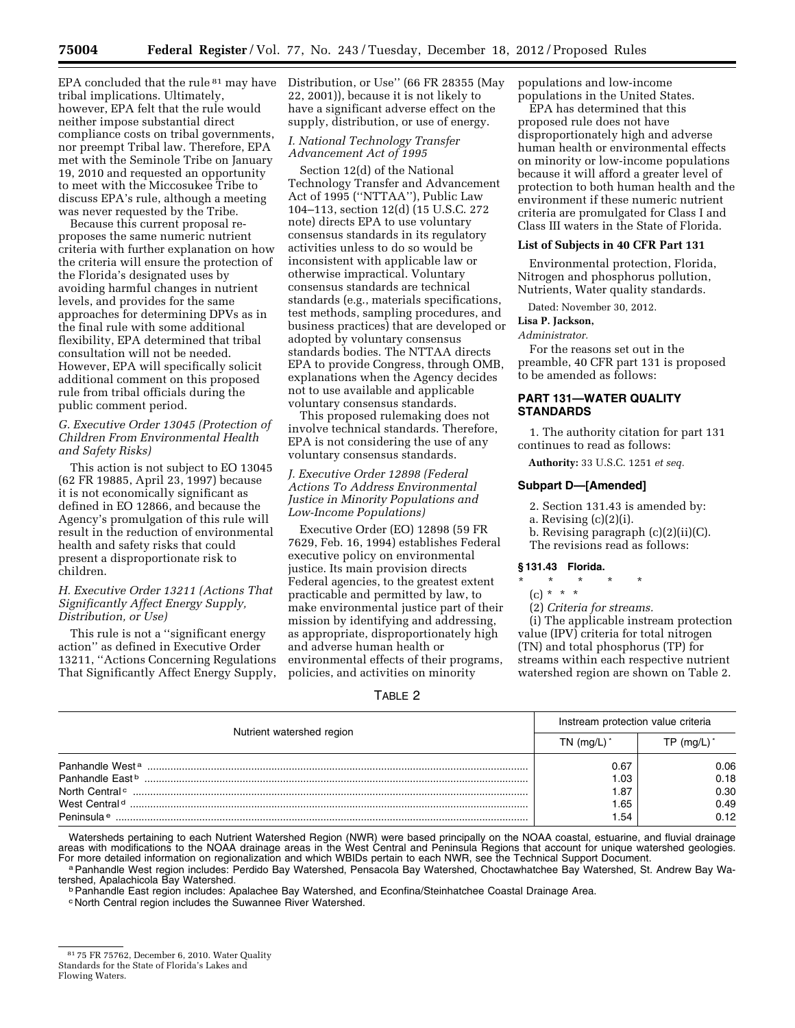EPA concluded that the rule 81 may have tribal implications. Ultimately, however, EPA felt that the rule would neither impose substantial direct compliance costs on tribal governments, nor preempt Tribal law. Therefore, EPA met with the Seminole Tribe on January 19, 2010 and requested an opportunity to meet with the Miccosukee Tribe to discuss EPA's rule, although a meeting was never requested by the Tribe.

Because this current proposal reproposes the same numeric nutrient criteria with further explanation on how the criteria will ensure the protection of the Florida's designated uses by avoiding harmful changes in nutrient levels, and provides for the same approaches for determining DPVs as in the final rule with some additional flexibility, EPA determined that tribal consultation will not be needed. However, EPA will specifically solicit additional comment on this proposed rule from tribal officials during the public comment period.

### *G. Executive Order 13045 (Protection of Children From Environmental Health and Safety Risks)*

This action is not subject to EO 13045 (62 FR 19885, April 23, 1997) because it is not economically significant as defined in EO 12866, and because the Agency's promulgation of this rule will result in the reduction of environmental health and safety risks that could present a disproportionate risk to children.

### *H. Executive Order 13211 (Actions That Significantly Affect Energy Supply, Distribution, or Use)*

This rule is not a ''significant energy action'' as defined in Executive Order 13211, ''Actions Concerning Regulations That Significantly Affect Energy Supply, Distribution, or Use'' (66 FR 28355 (May 22, 2001)), because it is not likely to have a significant adverse effect on the supply, distribution, or use of energy.

## *I. National Technology Transfer Advancement Act of 1995*

Section 12(d) of the National Technology Transfer and Advancement Act of 1995 (''NTTAA''), Public Law 104–113, section 12(d) (15 U.S.C. 272 note) directs EPA to use voluntary consensus standards in its regulatory activities unless to do so would be inconsistent with applicable law or otherwise impractical. Voluntary consensus standards are technical standards (e.g., materials specifications, test methods, sampling procedures, and business practices) that are developed or adopted by voluntary consensus standards bodies. The NTTAA directs EPA to provide Congress, through OMB, explanations when the Agency decides not to use available and applicable voluntary consensus standards.

This proposed rulemaking does not involve technical standards. Therefore, EPA is not considering the use of any voluntary consensus standards.

### *J. Executive Order 12898 (Federal Actions To Address Environmental Justice in Minority Populations and Low-Income Populations)*

Executive Order (EO) 12898 (59 FR 7629, Feb. 16, 1994) establishes Federal executive policy on environmental justice. Its main provision directs Federal agencies, to the greatest extent practicable and permitted by law, to make environmental justice part of their mission by identifying and addressing, as appropriate, disproportionately high and adverse human health or environmental effects of their programs, policies, and activities on minority

populations and low-income populations in the United States.

EPA has determined that this proposed rule does not have disproportionately high and adverse human health or environmental effects on minority or low-income populations because it will afford a greater level of protection to both human health and the environment if these numeric nutrient criteria are promulgated for Class I and Class III waters in the State of Florida.

#### **List of Subjects in 40 CFR Part 131**

Environmental protection, Florida, Nitrogen and phosphorus pollution, Nutrients, Water quality standards.

Dated: November 30, 2012.

### **Lisa P. Jackson,**

*Administrator.* 

For the reasons set out in the preamble, 40 CFR part 131 is proposed to be amended as follows:

## **PART 131—WATER QUALITY STANDARDS**

1. The authority citation for part 131 continues to read as follows:

**Authority:** 33 U.S.C. 1251 *et seq.* 

#### **Subpart D—[Amended]**

2. Section 131.43 is amended by:

- a. Revising (c)(2)(i).
- b. Revising paragraph (c)(2)(ii)(C). The revisions read as follows:

#### **§ 131.43 Florida.**

#### \* \* \* \* \*

- (c) \* \* \*
- (2) *Criteria for streams.*

(i) The applicable instream protection value (IPV) criteria for total nitrogen (TN) and total phosphorus (TP) for streams within each respective nutrient watershed region are shown on Table 2.

### TABLE 2

|                             | Instream protection value criteria |           |
|-----------------------------|------------------------------------|-----------|
| Nutrient watershed region   | TN (mg/L)                          | TP (mg/L) |
| Panhandle West <sup>a</sup> | 0.67                               | 0.06      |
| Panhandle Fast b            | 0.03                               | 0.18      |
| North Central <sup>c</sup>  | 1.87                               | 0.30      |
|                             | .65                                | 0.49      |
| Peninsula <sup>e</sup>      | .54                                | 0.12      |

Watersheds pertaining to each Nutrient Watershed Region (NWR) were based principally on the NOAA coastal, estuarine, and fluvial drainage areas with modifications to the NOAA drainage areas in the West Central and Peninsula Regions that account for unique watershed geologies.<br>For more detailed information on regionalization and which WBIDs pertain to each NW

a Panhandle West region includes: Perdido Bay Watershed, Pensacola Bay Watershed, Choctawhatchee Bay Watershed, St. Andrew Bay Wa-<br>tershed, Apalachicola Bay Watershed.

<sup>b</sup> Panhandle East region includes: Apalachee Bay Watershed, and Econfina/Steinhatchee Coastal Drainage Area.

c North Central region includes the Suwannee River Watershed.

<sup>81</sup> 75 FR 75762, December 6, 2010. Water Quality

Standards for the State of Florida's Lakes and

Flowing Waters.